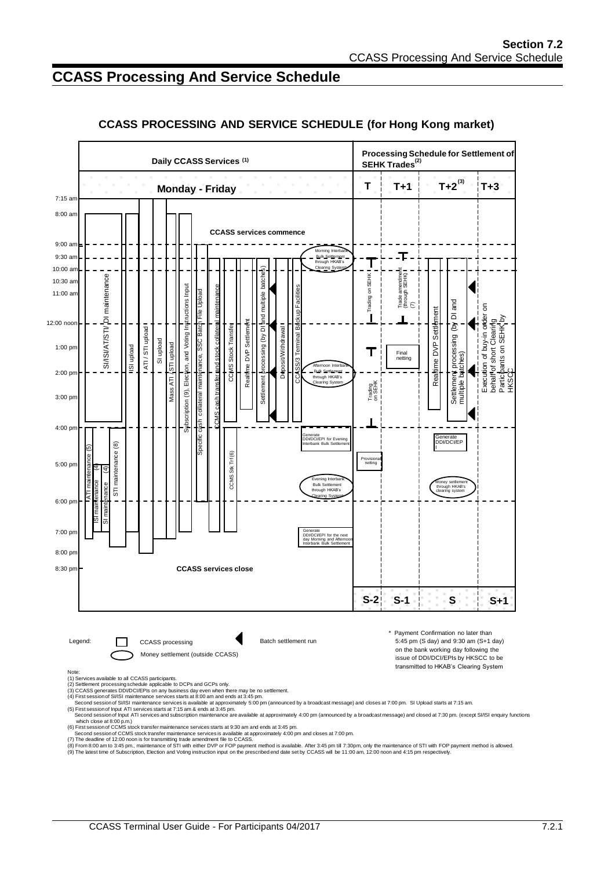# **CCASS Processing And Service Schedule**



#### **CCASS PROCESSING AND SERVICE SCHEDULE (for Hong Kong market)**

- 
- 
- 
-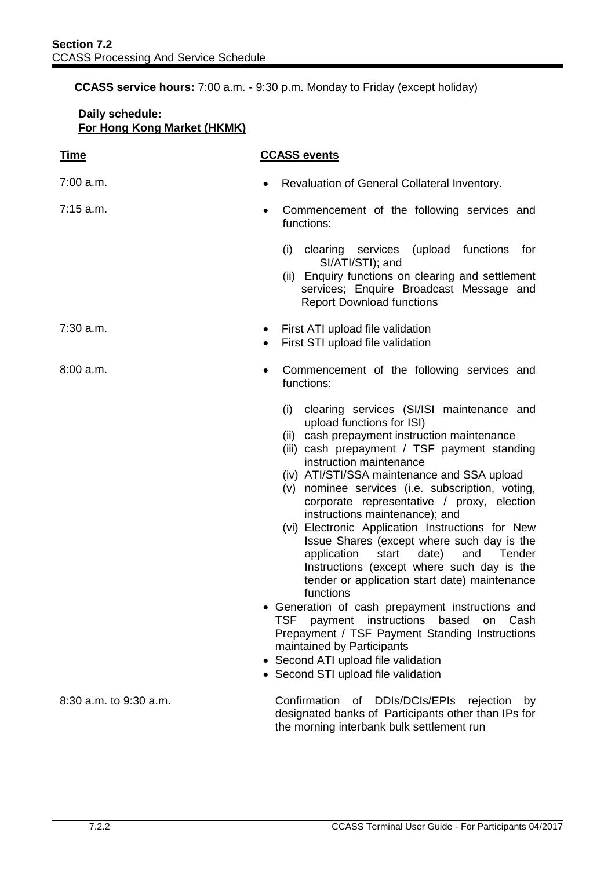**CCASS service hours:** 7:00 a.m. - 9:30 p.m. Monday to Friday (except holiday)

| Daily schedule:<br>For Hong Kong Market (HKMK) |                                                                                                                                                                                                                                                                                                                                                                                                                                                                                                                                                                                                                                                                                                                                                                                                                                                                                                                                        |
|------------------------------------------------|----------------------------------------------------------------------------------------------------------------------------------------------------------------------------------------------------------------------------------------------------------------------------------------------------------------------------------------------------------------------------------------------------------------------------------------------------------------------------------------------------------------------------------------------------------------------------------------------------------------------------------------------------------------------------------------------------------------------------------------------------------------------------------------------------------------------------------------------------------------------------------------------------------------------------------------|
| <u>Time</u>                                    | <b>CCASS events</b>                                                                                                                                                                                                                                                                                                                                                                                                                                                                                                                                                                                                                                                                                                                                                                                                                                                                                                                    |
| $7:00$ a.m.                                    | Revaluation of General Collateral Inventory.                                                                                                                                                                                                                                                                                                                                                                                                                                                                                                                                                                                                                                                                                                                                                                                                                                                                                           |
| $7:15$ a.m.                                    | Commencement of the following services and<br>$\bullet$<br>functions:                                                                                                                                                                                                                                                                                                                                                                                                                                                                                                                                                                                                                                                                                                                                                                                                                                                                  |
|                                                | (upload functions<br>(i) clearing services<br>for<br>SI/ATI/STI); and<br>(ii) Enquiry functions on clearing and settlement<br>services; Enquire Broadcast Message and<br><b>Report Download functions</b>                                                                                                                                                                                                                                                                                                                                                                                                                                                                                                                                                                                                                                                                                                                              |
| $7:30$ a.m.                                    | First ATI upload file validation<br>٠<br>First STI upload file validation<br>$\bullet$                                                                                                                                                                                                                                                                                                                                                                                                                                                                                                                                                                                                                                                                                                                                                                                                                                                 |
| 8:00a.m.                                       | Commencement of the following services and<br>functions:                                                                                                                                                                                                                                                                                                                                                                                                                                                                                                                                                                                                                                                                                                                                                                                                                                                                               |
|                                                | clearing services (SI/ISI maintenance and<br>(i)<br>upload functions for ISI)<br>cash prepayment instruction maintenance<br>(ii)<br>(iii) cash prepayment / TSF payment standing<br>instruction maintenance<br>(iv) ATI/STI/SSA maintenance and SSA upload<br>(v) nominee services (i.e. subscription, voting,<br>corporate representative / proxy, election<br>instructions maintenance); and<br>(vi) Electronic Application Instructions for New<br>Issue Shares (except where such day is the<br>start<br>application<br>date)<br>and<br>Tender<br>Instructions (except where such day is the<br>tender or application start date) maintenance<br>functions<br>Generation of cash prepayment instructions and<br>payment instructions based<br><b>TSF</b><br>on<br>Cash<br>Prepayment / TSF Payment Standing Instructions<br>maintained by Participants<br>Second ATI upload file validation<br>• Second STI upload file validation |
| 8:30 a.m. to 9:30 a.m.                         | Confirmation<br>DDIs/DCIs/EPIs<br>of<br>rejection<br>by<br>designated banks of Participants other than IPs for<br>the morning interbank bulk settlement run                                                                                                                                                                                                                                                                                                                                                                                                                                                                                                                                                                                                                                                                                                                                                                            |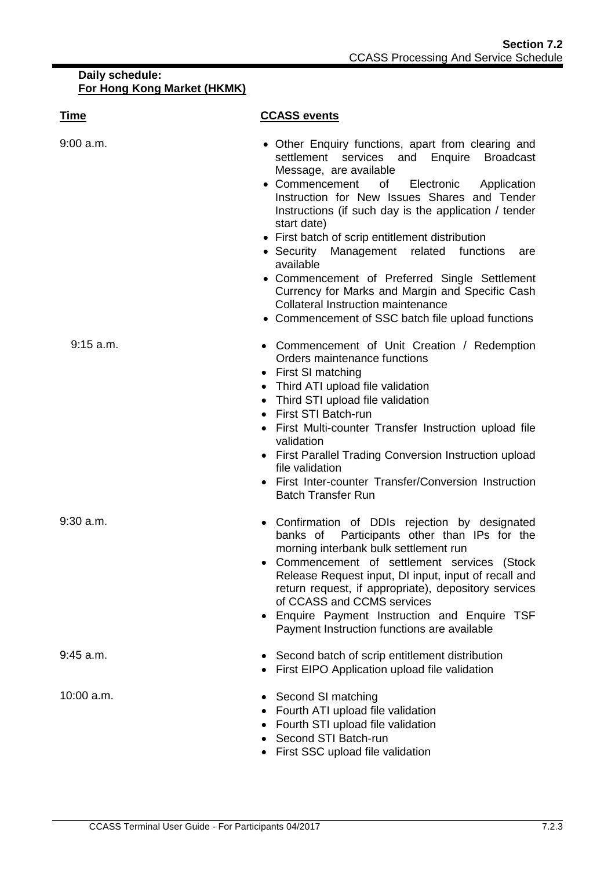| <u>Time</u> | <b>CCASS events</b>                                                                                                                                                                                                                                                                                                                                                                                                                                                                                                                                                                                                               |
|-------------|-----------------------------------------------------------------------------------------------------------------------------------------------------------------------------------------------------------------------------------------------------------------------------------------------------------------------------------------------------------------------------------------------------------------------------------------------------------------------------------------------------------------------------------------------------------------------------------------------------------------------------------|
| $9:00$ a.m. | • Other Enquiry functions, apart from clearing and<br>settlement services and Enquire Broadcast<br>Message, are available<br>Commencement<br>$\circ$ of<br>Electronic Application<br>Instruction for New Issues Shares and Tender<br>Instructions (if such day is the application / tender<br>start date)<br>• First batch of scrip entitlement distribution<br>• Security Management related functions<br>are<br>available<br>• Commencement of Preferred Single Settlement<br>Currency for Marks and Margin and Specific Cash<br><b>Collateral Instruction maintenance</b><br>• Commencement of SSC batch file upload functions |
| $9:15$ a.m. | • Commencement of Unit Creation / Redemption<br>Orders maintenance functions<br>• First SI matching<br>• Third ATI upload file validation<br>Third STI upload file validation<br>First STI Batch-run<br>First Multi-counter Transfer Instruction upload file<br>validation<br>• First Parallel Trading Conversion Instruction upload<br>file validation<br>First Inter-counter Transfer/Conversion Instruction<br><b>Batch Transfer Run</b>                                                                                                                                                                                       |
| $9:30$ a.m. | Confirmation of DDIs rejection by designated<br>$\bullet$<br>banks of Participants other than IPs for the<br>morning interbank bulk settlement run<br>Commencement of settlement services<br>(Stock<br>Release Request input, DI input, input of recall and<br>return request, if appropriate), depository services<br>of CCASS and CCMS services<br>• Enquire Payment Instruction and Enquire TSF<br>Payment Instruction functions are available                                                                                                                                                                                 |
| $9:45$ a.m. | • Second batch of scrip entitlement distribution<br>• First EIPO Application upload file validation                                                                                                                                                                                                                                                                                                                                                                                                                                                                                                                               |
| 10:00 a.m.  | • Second SI matching<br>• Fourth ATI upload file validation<br>Fourth STI upload file validation<br>Second STI Batch-run<br>• First SSC upload file validation                                                                                                                                                                                                                                                                                                                                                                                                                                                                    |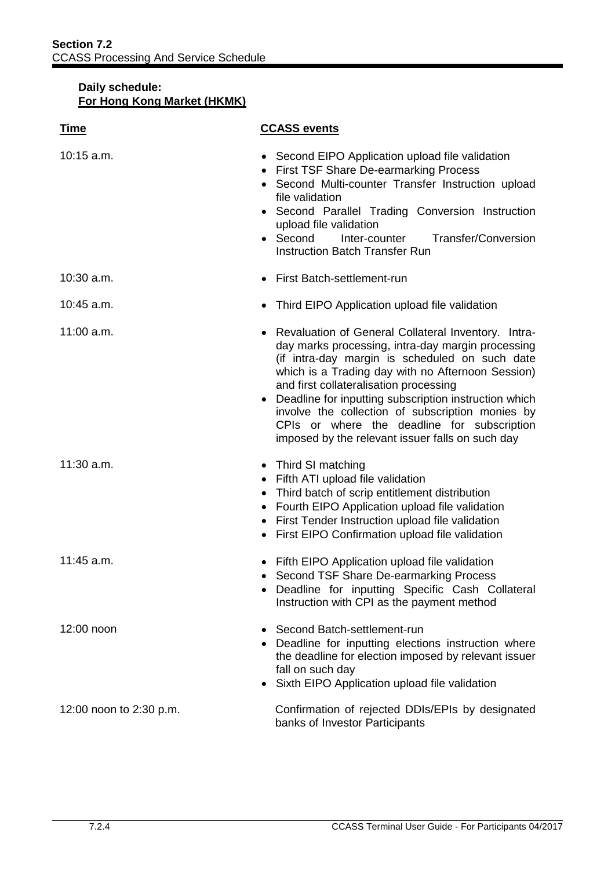| <b>Time</b>             | <b>CCASS events</b>                                                                                                                                                                                                                                                                                                                                                                                                                                                         |
|-------------------------|-----------------------------------------------------------------------------------------------------------------------------------------------------------------------------------------------------------------------------------------------------------------------------------------------------------------------------------------------------------------------------------------------------------------------------------------------------------------------------|
| $10:15$ a.m.            | • Second EIPO Application upload file validation<br><b>First TSF Share De-earmarking Process</b><br>Second Multi-counter Transfer Instruction upload<br>file validation<br>• Second Parallel Trading Conversion Instruction<br>upload file validation<br>Second<br>Inter-counter<br>Transfer/Conversion<br><b>Instruction Batch Transfer Run</b>                                                                                                                            |
| $10:30$ a.m.            | First Batch-settlement-run                                                                                                                                                                                                                                                                                                                                                                                                                                                  |
| 10:45 a.m.              | Third EIPO Application upload file validation                                                                                                                                                                                                                                                                                                                                                                                                                               |
| $11:00$ a.m.            | • Revaluation of General Collateral Inventory. Intra-<br>day marks processing, intra-day margin processing<br>(if intra-day margin is scheduled on such date<br>which is a Trading day with no Afternoon Session)<br>and first collateralisation processing<br>Deadline for inputting subscription instruction which<br>involve the collection of subscription monies by<br>CPIs or where the deadline for subscription<br>imposed by the relevant issuer falls on such day |
| 11:30 a.m.              | • Third SI matching<br>• Fifth ATI upload file validation<br>Third batch of scrip entitlement distribution<br>$\bullet$<br>Fourth EIPO Application upload file validation<br>٠<br>First Tender Instruction upload file validation<br>First EIPO Confirmation upload file validation                                                                                                                                                                                         |
| 11:45 a.m.              | Fifth EIPO Application upload file validation<br>Second TSF Share De-earmarking Process<br>• Deadline for inputting Specific Cash Collateral<br>Instruction with CPI as the payment method                                                                                                                                                                                                                                                                                  |
| 12:00 noon              | Second Batch-settlement-run<br>Deadline for inputting elections instruction where<br>the deadline for election imposed by relevant issuer<br>fall on such day<br>Sixth EIPO Application upload file validation                                                                                                                                                                                                                                                              |
| 12:00 noon to 2:30 p.m. | Confirmation of rejected DDIs/EPIs by designated<br>banks of Investor Participants                                                                                                                                                                                                                                                                                                                                                                                          |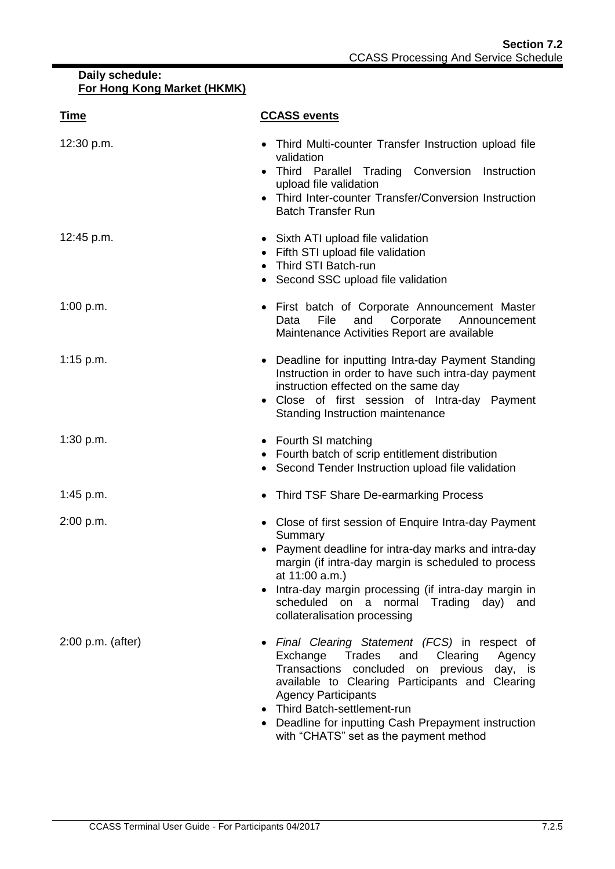| <u>Time</u>         | <b>CCASS events</b>                                                                                                                                                                                                                                                                                                                                                    |
|---------------------|------------------------------------------------------------------------------------------------------------------------------------------------------------------------------------------------------------------------------------------------------------------------------------------------------------------------------------------------------------------------|
| 12:30 p.m.          | Third Multi-counter Transfer Instruction upload file<br>validation<br>• Third Parallel Trading Conversion Instruction<br>upload file validation<br>Third Inter-counter Transfer/Conversion Instruction<br><b>Batch Transfer Run</b>                                                                                                                                    |
| 12:45 p.m.          | • Sixth ATI upload file validation<br>• Fifth STI upload file validation<br>Third STI Batch-run<br>Second SSC upload file validation<br>$\bullet$                                                                                                                                                                                                                      |
| 1:00 p.m.           | First batch of Corporate Announcement Master<br>$\bullet$<br>Corporate<br>Data<br>File<br>and<br>Announcement<br>Maintenance Activities Report are available                                                                                                                                                                                                           |
| 1:15 p.m.           | Deadline for inputting Intra-day Payment Standing<br>Instruction in order to have such intra-day payment<br>instruction effected on the same day<br>Close of first session of Intra-day Payment<br>Standing Instruction maintenance                                                                                                                                    |
| 1:30 p.m.           | • Fourth SI matching<br>Fourth batch of scrip entitlement distribution<br>• Second Tender Instruction upload file validation                                                                                                                                                                                                                                           |
| 1:45 p.m.           | • Third TSF Share De-earmarking Process                                                                                                                                                                                                                                                                                                                                |
| 2:00 p.m.           | • Close of first session of Enquire Intra-day Payment<br>Summary<br>Payment deadline for intra-day marks and intra-day<br>margin (if intra-day margin is scheduled to process<br>at 11:00 a.m.)<br>Intra-day margin processing (if intra-day margin in<br>scheduled on a normal Trading day) and<br>collateralisation processing                                       |
| $2:00$ p.m. (after) | Final Clearing Statement (FCS) in respect of<br>Clearing<br>Exchange<br>Trades<br>and<br>Agency<br>Transactions<br>concluded on previous<br>day, is<br>available to Clearing Participants and Clearing<br><b>Agency Participants</b><br>• Third Batch-settlement-run<br>• Deadline for inputting Cash Prepayment instruction<br>with "CHATS" set as the payment method |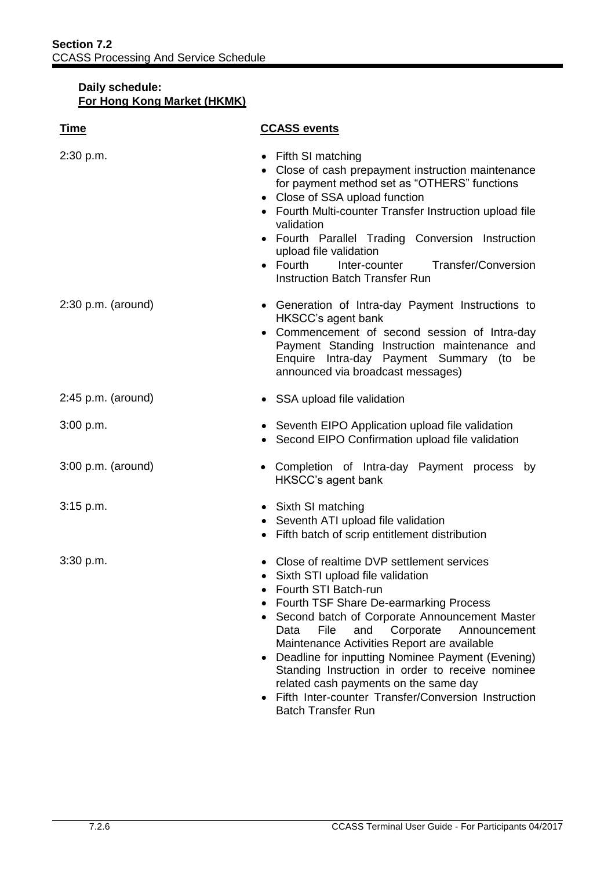| <u>Time</u>          | <b>CCASS events</b>                                                                                                                                                                                                                                                                                                                                                                                                                                                                                                                          |
|----------------------|----------------------------------------------------------------------------------------------------------------------------------------------------------------------------------------------------------------------------------------------------------------------------------------------------------------------------------------------------------------------------------------------------------------------------------------------------------------------------------------------------------------------------------------------|
| 2:30 p.m.            | Fifth SI matching<br>Close of cash prepayment instruction maintenance<br>for payment method set as "OTHERS" functions<br>• Close of SSA upload function<br>• Fourth Multi-counter Transfer Instruction upload file<br>validation<br>• Fourth Parallel Trading Conversion Instruction<br>upload file validation<br>$\bullet$ Fourth<br>Inter-counter<br>Transfer/Conversion<br>Instruction Batch Transfer Run                                                                                                                                 |
| $2:30$ p.m. (around) | • Generation of Intra-day Payment Instructions to<br>HKSCC's agent bank<br>• Commencement of second session of Intra-day<br>Payment Standing Instruction maintenance and<br>Enquire Intra-day Payment Summary (to be<br>announced via broadcast messages)                                                                                                                                                                                                                                                                                    |
| $2:45$ p.m. (around) | • SSA upload file validation                                                                                                                                                                                                                                                                                                                                                                                                                                                                                                                 |
| 3:00 p.m.            | • Seventh EIPO Application upload file validation<br>Second EIPO Confirmation upload file validation                                                                                                                                                                                                                                                                                                                                                                                                                                         |
| $3:00$ p.m. (around) | Completion of Intra-day Payment process<br>by<br>HKSCC's agent bank                                                                                                                                                                                                                                                                                                                                                                                                                                                                          |
| 3:15 p.m.            | • Sixth SI matching<br>• Seventh ATI upload file validation<br>Fifth batch of scrip entitlement distribution<br>$\bullet$                                                                                                                                                                                                                                                                                                                                                                                                                    |
| 3:30 p.m.            | • Close of realtime DVP settlement services<br>• Sixth STI upload file validation<br>Fourth STI Batch-run<br>Fourth TSF Share De-earmarking Process<br>Second batch of Corporate Announcement Master<br>Corporate<br>Data<br>File<br>and<br>Announcement<br>Maintenance Activities Report are available<br>Deadline for inputting Nominee Payment (Evening)<br>Standing Instruction in order to receive nominee<br>related cash payments on the same day<br>Fifth Inter-counter Transfer/Conversion Instruction<br><b>Batch Transfer Run</b> |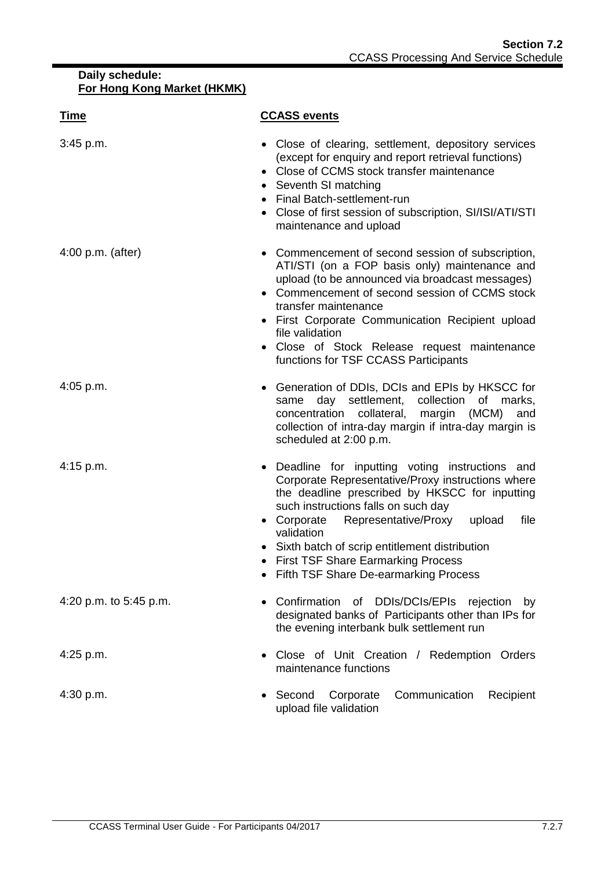| <u>Time</u>            | <b>CCASS events</b>                                                                                                                                                                                                                                                                                                                                                                                   |
|------------------------|-------------------------------------------------------------------------------------------------------------------------------------------------------------------------------------------------------------------------------------------------------------------------------------------------------------------------------------------------------------------------------------------------------|
| 3:45 p.m.              | • Close of clearing, settlement, depository services<br>(except for enquiry and report retrieval functions)<br>Close of CCMS stock transfer maintenance<br>$\bullet$<br>Seventh SI matching<br>$\bullet$<br>• Final Batch-settlement-run<br>• Close of first session of subscription, SI/ISI/ATI/STI<br>maintenance and upload                                                                        |
| $4:00$ p.m. (after)    | Commencement of second session of subscription,<br>ATI/STI (on a FOP basis only) maintenance and<br>upload (to be announced via broadcast messages)<br>• Commencement of second session of CCMS stock<br>transfer maintenance<br>• First Corporate Communication Recipient upload<br>file validation<br>• Close of Stock Release request maintenance<br>functions for TSF CCASS Participants          |
| $4:05$ p.m.            | • Generation of DDIs, DCIs and EPIs by HKSCC for<br>day settlement,<br>collection<br>same<br>of marks,<br>collateral, margin<br>concentration<br>(MCM)<br>and<br>collection of intra-day margin if intra-day margin is<br>scheduled at 2:00 p.m.                                                                                                                                                      |
| $4:15$ p.m.            | Deadline for inputting voting instructions and<br>Corporate Representative/Proxy instructions where<br>the deadline prescribed by HKSCC for inputting<br>such instructions falls on such day<br>Representative/Proxy<br>• Corporate<br>upload<br>file<br>validation<br>Sixth batch of scrip entitlement distribution<br>• First TSF Share Earmarking Process<br>Fifth TSF Share De-earmarking Process |
| 4:20 p.m. to 5:45 p.m. | of DDIs/DCIs/EPIs<br>Confirmation<br>rejection<br>by<br>designated banks of Participants other than IPs for<br>the evening interbank bulk settlement run                                                                                                                                                                                                                                              |
| 4:25 p.m.              | Close of Unit Creation / Redemption Orders<br>maintenance functions                                                                                                                                                                                                                                                                                                                                   |
| 4:30 p.m.              | Communication<br>Second<br>Corporate<br>Recipient<br>upload file validation                                                                                                                                                                                                                                                                                                                           |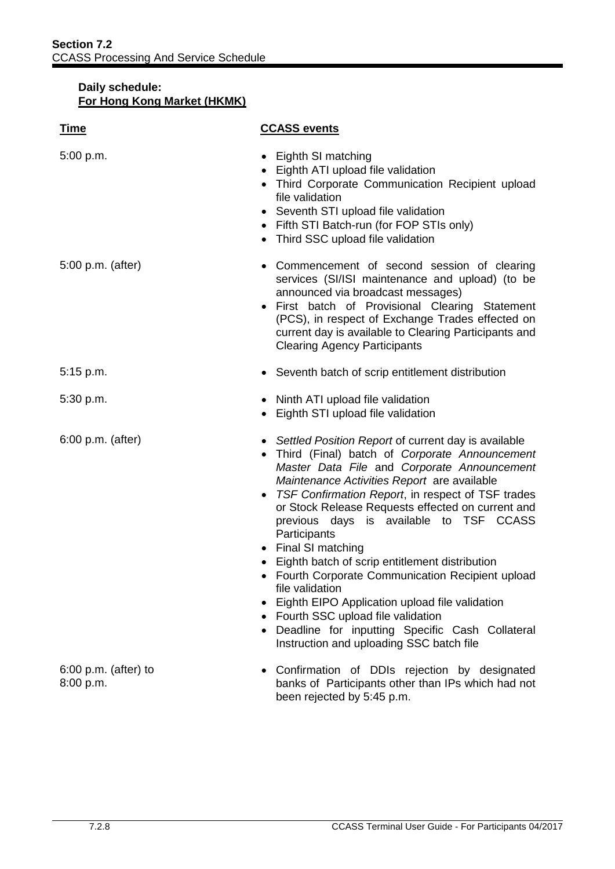| <u>Time</u>                         | <b>CCASS events</b>                                                                                                                                                                                                                                                                                                                                                                                                                                                                                                                                                                                                                                                                                              |
|-------------------------------------|------------------------------------------------------------------------------------------------------------------------------------------------------------------------------------------------------------------------------------------------------------------------------------------------------------------------------------------------------------------------------------------------------------------------------------------------------------------------------------------------------------------------------------------------------------------------------------------------------------------------------------------------------------------------------------------------------------------|
| 5:00 p.m.                           | • Eighth SI matching<br>• Eighth ATI upload file validation<br>• Third Corporate Communication Recipient upload<br>file validation<br>• Seventh STI upload file validation<br>• Fifth STI Batch-run (for FOP STIs only)<br>• Third SSC upload file validation                                                                                                                                                                                                                                                                                                                                                                                                                                                    |
| 5:00 p.m. (after)                   | Commencement of second session of clearing<br>services (SI/ISI maintenance and upload) (to be<br>announced via broadcast messages)<br>• First batch of Provisional Clearing Statement<br>(PCS), in respect of Exchange Trades effected on<br>current day is available to Clearing Participants and<br><b>Clearing Agency Participants</b>                                                                                                                                                                                                                                                                                                                                                                        |
| $5:15$ p.m.                         | • Seventh batch of scrip entitlement distribution                                                                                                                                                                                                                                                                                                                                                                                                                                                                                                                                                                                                                                                                |
| 5:30 p.m.                           | • Ninth ATI upload file validation<br>Eighth STI upload file validation<br>$\bullet$                                                                                                                                                                                                                                                                                                                                                                                                                                                                                                                                                                                                                             |
| 6:00 p.m. (after)                   | • Settled Position Report of current day is available<br>Third (Final) batch of Corporate Announcement<br>Master Data File and Corporate Announcement<br>Maintenance Activities Report are available<br>TSF Confirmation Report, in respect of TSF trades<br>or Stock Release Requests effected on current and<br>previous days is available to TSF CCASS<br>Participants<br>• Final SI matching<br>Eighth batch of scrip entitlement distribution<br>• Fourth Corporate Communication Recipient upload<br>file validation<br>Eighth EIPO Application upload file validation<br>Fourth SSC upload file validation<br>Deadline for inputting Specific Cash Collateral<br>Instruction and uploading SSC batch file |
| $6:00$ p.m. (after) to<br>8:00 p.m. | Confirmation of DDIs rejection by designated<br>banks of Participants other than IPs which had not                                                                                                                                                                                                                                                                                                                                                                                                                                                                                                                                                                                                               |

been rejected by 5:45 p.m.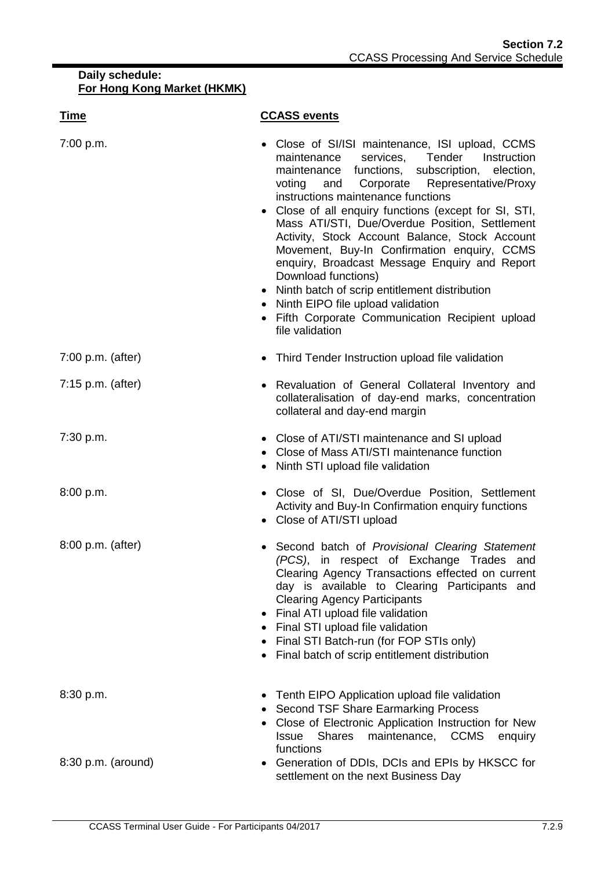| <b>Time</b>         | <b>CCASS events</b>                                                                                                                                                                                                                                                                                                                                                                                                                                                                                                                                                                                                                                                                           |
|---------------------|-----------------------------------------------------------------------------------------------------------------------------------------------------------------------------------------------------------------------------------------------------------------------------------------------------------------------------------------------------------------------------------------------------------------------------------------------------------------------------------------------------------------------------------------------------------------------------------------------------------------------------------------------------------------------------------------------|
| 7:00 p.m.           | • Close of SI/ISI maintenance, ISI upload, CCMS<br>Tender<br>maintenance<br>services,<br>Instruction<br>maintenance functions, subscription, election,<br>and Corporate Representative/Proxy<br>voting<br>instructions maintenance functions<br>• Close of all enquiry functions (except for SI, STI,<br>Mass ATI/STI, Due/Overdue Position, Settlement<br>Activity, Stock Account Balance, Stock Account<br>Movement, Buy-In Confirmation enquiry, CCMS<br>enquiry, Broadcast Message Enquiry and Report<br>Download functions)<br>• Ninth batch of scrip entitlement distribution<br>Ninth EIPO file upload validation<br>Fifth Corporate Communication Recipient upload<br>file validation |
| $7:00$ p.m. (after) | • Third Tender Instruction upload file validation                                                                                                                                                                                                                                                                                                                                                                                                                                                                                                                                                                                                                                             |
| $7:15$ p.m. (after) | • Revaluation of General Collateral Inventory and<br>collateralisation of day-end marks, concentration<br>collateral and day-end margin                                                                                                                                                                                                                                                                                                                                                                                                                                                                                                                                                       |
| 7:30 p.m.           | • Close of ATI/STI maintenance and SI upload<br>Close of Mass ATI/STI maintenance function<br>Ninth STI upload file validation                                                                                                                                                                                                                                                                                                                                                                                                                                                                                                                                                                |
| 8:00 p.m.           | • Close of SI, Due/Overdue Position, Settlement<br>Activity and Buy-In Confirmation enquiry functions<br>Close of ATI/STI upload                                                                                                                                                                                                                                                                                                                                                                                                                                                                                                                                                              |
| 8:00 p.m. (after)   | Second batch of Provisional Clearing Statement<br>(PCS), in respect of Exchange Trades and<br>Clearing Agency Transactions effected on current<br>day is available to Clearing Participants and<br><b>Clearing Agency Participants</b><br>Final ATI upload file validation<br>Final STI upload file validation<br>Final STI Batch-run (for FOP STIs only)<br>Final batch of scrip entitlement distribution                                                                                                                                                                                                                                                                                    |
| 8:30 p.m.           | • Tenth EIPO Application upload file validation<br>Second TSF Share Earmarking Process<br>• Close of Electronic Application Instruction for New<br>maintenance, CCMS<br><b>Issue Shares</b><br>enquiry<br>functions                                                                                                                                                                                                                                                                                                                                                                                                                                                                           |
| 8:30 p.m. (around)  | Generation of DDIs, DCIs and EPIs by HKSCC for<br>settlement on the next Business Day                                                                                                                                                                                                                                                                                                                                                                                                                                                                                                                                                                                                         |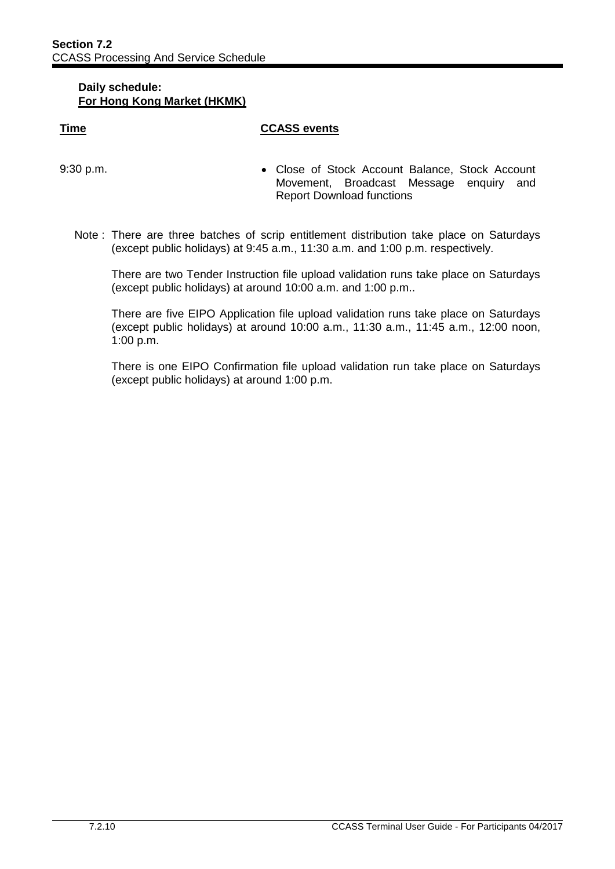#### **Time CCASS events**

- 9:30 p.m. Close of Stock Account Balance, Stock Account Movement, Broadcast Message enquiry and Report Download functions
	- Note : There are three batches of scrip entitlement distribution take place on Saturdays (except public holidays) at 9:45 a.m., 11:30 a.m. and 1:00 p.m. respectively.

There are two Tender Instruction file upload validation runs take place on Saturdays (except public holidays) at around 10:00 a.m. and 1:00 p.m..

There are five EIPO Application file upload validation runs take place on Saturdays (except public holidays) at around 10:00 a.m., 11:30 a.m., 11:45 a.m., 12:00 noon, 1:00 p.m.

There is one EIPO Confirmation file upload validation run take place on Saturdays (except public holidays) at around 1:00 p.m.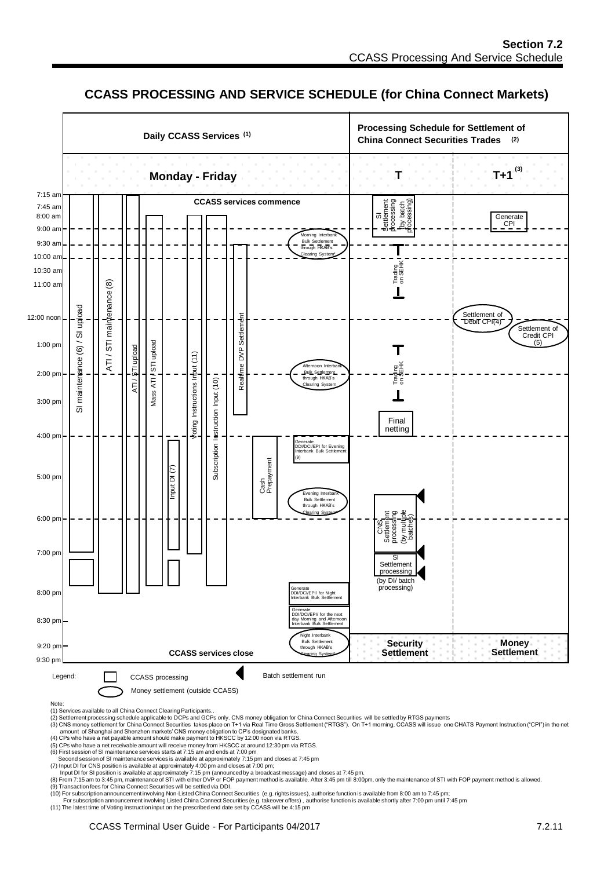# **CCASS PROCESSING AND SERVICE SCHEDULE (for China Connect Markets)**



Note: (1) Services available to all China Connect Clearing Participants..

(2) Settlement processing schedule applicable to DCPs and GCPs only. CNS money obligation for China Connect Securities will be settled by RTGS payments<br>(3) CNS money settlement for China Connect Securities takes place on

- 
- (5) CPs who have a net receivable amount will receive money from HKSCC at around 12:30 pm via RTGS.

(6) First session of SI maintenance services starts at 7:15 am and ends at 7:00 pm<br>Second session of SI maintenance services is available at approximately 7:15 pm and closes at 7:45 pm<br>(7) Input DI for CNS position is avai

lnput DI for SI position is available at approximately 7:15 pm (announced by a broadcast message) and closes at 7:45 pm.<br>(8) From 7:15 am to 3:45 pm, maintenance of STI with either DVP or FOP payment method is available. A

(9) Transaction fees for China Connect Securities will be settled via DDI.

(10) For subscription announcement involving Non-Listed China Connect Securities (e.g. rights issues), authorise function is available from 8:00 am to 7:45 pm;

For subscription announcement involving Listed China Connect Securities (e.g. takeover offers) , authorise function is available shortly after 7:00 pm until 7:45 pm<br>(11) The latest time of Voting Instruction input on the p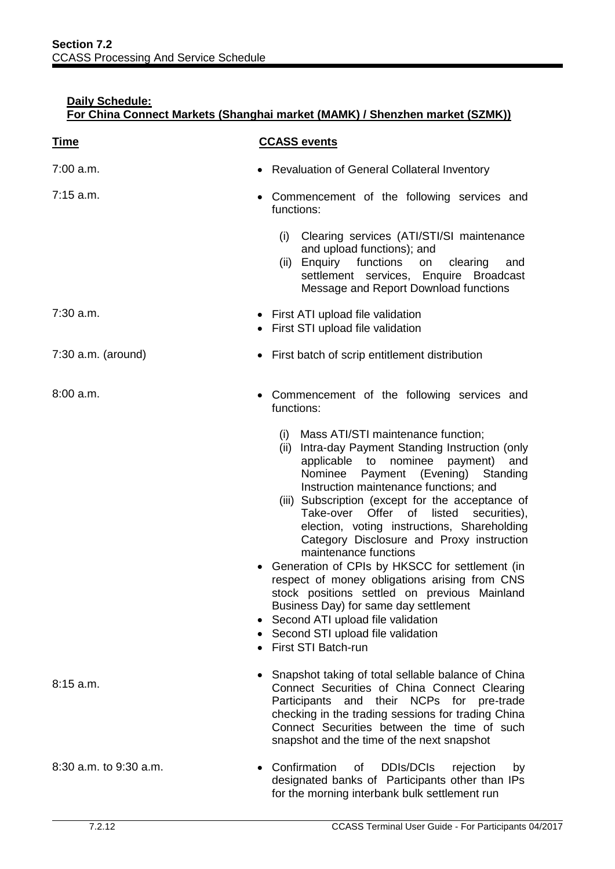| <u>Time</u>            | <b>CCASS events</b>                                                                                                                                                                                                                                                                                                                                                                                                                                                                                                                                                                                                                                                                                                                                                  |
|------------------------|----------------------------------------------------------------------------------------------------------------------------------------------------------------------------------------------------------------------------------------------------------------------------------------------------------------------------------------------------------------------------------------------------------------------------------------------------------------------------------------------------------------------------------------------------------------------------------------------------------------------------------------------------------------------------------------------------------------------------------------------------------------------|
| 7:00 a.m.              | • Revaluation of General Collateral Inventory                                                                                                                                                                                                                                                                                                                                                                                                                                                                                                                                                                                                                                                                                                                        |
| $7:15$ a.m.            | Commencement of the following services and<br>$\bullet$<br>functions:                                                                                                                                                                                                                                                                                                                                                                                                                                                                                                                                                                                                                                                                                                |
|                        | Clearing services (ATI/STI/SI maintenance<br>(i)<br>and upload functions); and<br>(ii) Enquiry functions<br>clearing<br>on<br>and<br>settlement services, Enquire Broadcast<br>Message and Report Download functions                                                                                                                                                                                                                                                                                                                                                                                                                                                                                                                                                 |
| 7:30 a.m.              | • First ATI upload file validation<br>• First STI upload file validation                                                                                                                                                                                                                                                                                                                                                                                                                                                                                                                                                                                                                                                                                             |
| $7:30$ a.m. (around)   | • First batch of scrip entitlement distribution                                                                                                                                                                                                                                                                                                                                                                                                                                                                                                                                                                                                                                                                                                                      |
| 8:00 a.m.              | Commencement of the following services and<br>$\bullet$<br>functions:                                                                                                                                                                                                                                                                                                                                                                                                                                                                                                                                                                                                                                                                                                |
|                        | Mass ATI/STI maintenance function;<br>(i)<br>(ii) Intra-day Payment Standing Instruction (only<br>applicable to<br>nominee<br>payment)<br>and<br>Nominee Payment (Evening) Standing<br>Instruction maintenance functions; and<br>(iii) Subscription (except for the acceptance of<br>Offer of listed<br>Take-over<br>securities),<br>election, voting instructions, Shareholding<br>Category Disclosure and Proxy instruction<br>maintenance functions<br>Generation of CPIs by HKSCC for settlement (in<br>respect of money obligations arising from CNS<br>stock positions settled on previous Mainland<br>Business Day) for same day settlement<br>Second ATI upload file validation<br>$\bullet$<br>• Second STI upload file validation<br>• First STI Batch-run |
| 8:15a.m.               | Snapshot taking of total sellable balance of China<br>٠<br>Connect Securities of China Connect Clearing<br>Participants and their NCPs for pre-trade<br>checking in the trading sessions for trading China<br>Connect Securities between the time of such<br>snapshot and the time of the next snapshot                                                                                                                                                                                                                                                                                                                                                                                                                                                              |
| 8:30 a.m. to 9:30 a.m. | Confirmation<br><b>DDIs/DCIS</b><br>of<br>rejection<br>by<br>$\bullet$<br>designated banks of Participants other than IPs<br>for the morning interbank bulk settlement run                                                                                                                                                                                                                                                                                                                                                                                                                                                                                                                                                                                           |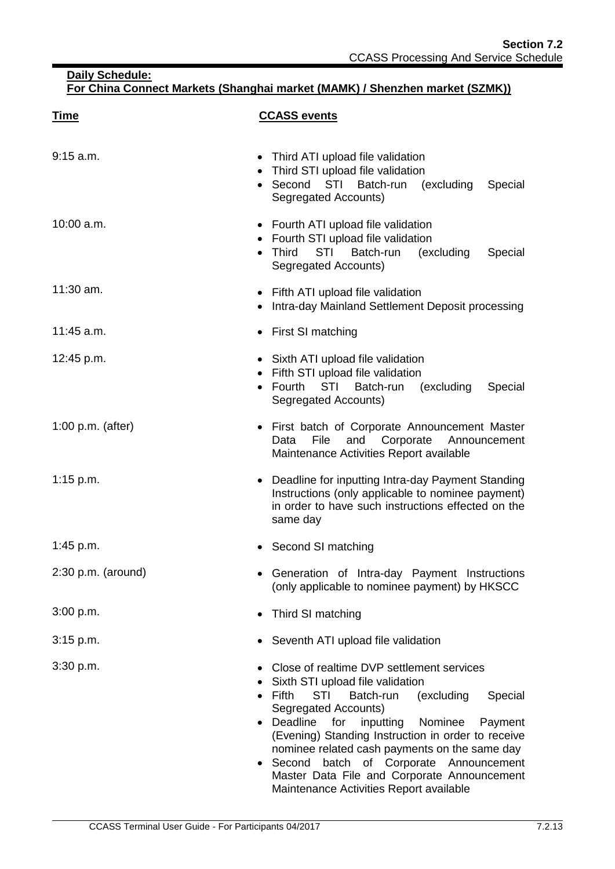| <u>Time</u>          | <b>CCASS events</b>                                                                                                                                                                                                                                                                                                                                                                                                                                                                          |
|----------------------|----------------------------------------------------------------------------------------------------------------------------------------------------------------------------------------------------------------------------------------------------------------------------------------------------------------------------------------------------------------------------------------------------------------------------------------------------------------------------------------------|
| 9:15 a.m.            | Third ATI upload file validation<br>$\bullet$<br>Third STI upload file validation<br>$\bullet$<br>• Second<br>STI<br>Batch-run<br>(excluding<br>Special<br>Segregated Accounts)                                                                                                                                                                                                                                                                                                              |
| $10:00$ a.m.         | • Fourth ATI upload file validation<br>Fourth STI upload file validation<br><b>STI</b><br>Third<br>Batch-run<br>(excluding<br>Special<br>Segregated Accounts)                                                                                                                                                                                                                                                                                                                                |
| 11:30 am.            | Fifth ATI upload file validation<br>Intra-day Mainland Settlement Deposit processing                                                                                                                                                                                                                                                                                                                                                                                                         |
| 11:45 a.m.           | First SI matching<br>$\bullet$                                                                                                                                                                                                                                                                                                                                                                                                                                                               |
| 12:45 p.m.           | • Sixth ATI upload file validation<br>Fifth STI upload file validation<br>Fourth<br><b>STI</b><br>Batch-run<br>(excluding<br>Special<br>$\bullet$<br>Segregated Accounts)                                                                                                                                                                                                                                                                                                                    |
| $1:00$ p.m. (after)  | • First batch of Corporate Announcement Master<br>File<br>Corporate<br>and<br>Data<br>Announcement<br>Maintenance Activities Report available                                                                                                                                                                                                                                                                                                                                                |
| 1:15 p.m.            | • Deadline for inputting Intra-day Payment Standing<br>Instructions (only applicable to nominee payment)<br>in order to have such instructions effected on the<br>same day                                                                                                                                                                                                                                                                                                                   |
| 1:45 p.m.            | Second SI matching                                                                                                                                                                                                                                                                                                                                                                                                                                                                           |
| $2:30$ p.m. (around) | Generation of Intra-day Payment Instructions<br>(only applicable to nominee payment) by HKSCC                                                                                                                                                                                                                                                                                                                                                                                                |
| 3:00 p.m.            | Third SI matching<br>$\bullet$                                                                                                                                                                                                                                                                                                                                                                                                                                                               |
| 3:15 p.m.            | Seventh ATI upload file validation                                                                                                                                                                                                                                                                                                                                                                                                                                                           |
| 3:30 p.m.            | Close of realtime DVP settlement services<br>Sixth STI upload file validation<br><b>Fifth</b><br><b>STI</b><br>Batch-run<br>(excluding<br>Special<br>٠<br>Segregated Accounts)<br>Deadline<br>Nominee<br>for<br>inputting<br>Payment<br>$\bullet$<br>(Evening) Standing Instruction in order to receive<br>nominee related cash payments on the same day<br>Second batch of Corporate Announcement<br>Master Data File and Corporate Announcement<br>Maintenance Activities Report available |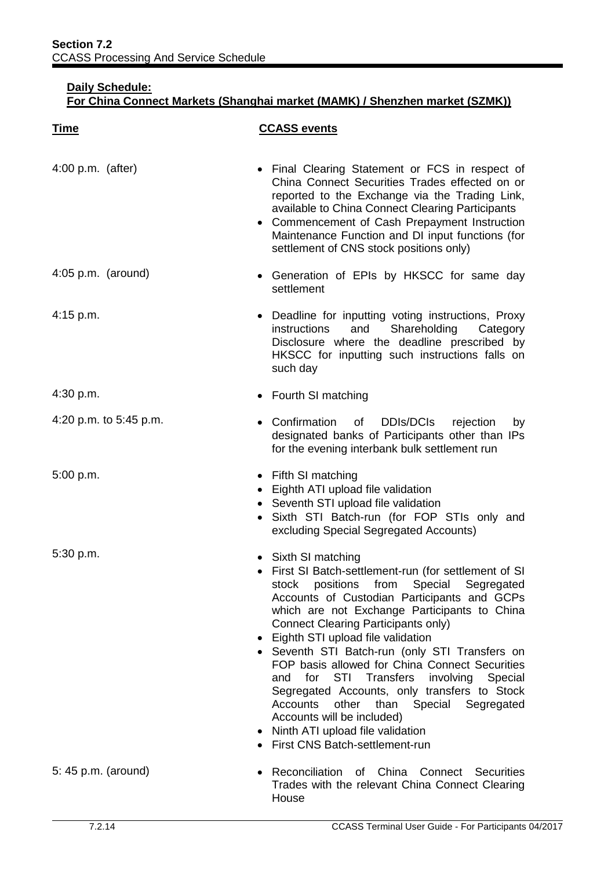| <b>Time</b>            | <b>CCASS events</b>                                                                                                                                                                                                                                                                                                                                                                                                                                                                                                                                                                                                                                                                   |
|------------------------|---------------------------------------------------------------------------------------------------------------------------------------------------------------------------------------------------------------------------------------------------------------------------------------------------------------------------------------------------------------------------------------------------------------------------------------------------------------------------------------------------------------------------------------------------------------------------------------------------------------------------------------------------------------------------------------|
| $4:00$ p.m. (after)    | • Final Clearing Statement or FCS in respect of<br>China Connect Securities Trades effected on or<br>reported to the Exchange via the Trading Link,<br>available to China Connect Clearing Participants<br>• Commencement of Cash Prepayment Instruction<br>Maintenance Function and DI input functions (for<br>settlement of CNS stock positions only)                                                                                                                                                                                                                                                                                                                               |
| $4:05$ p.m. (around)   | • Generation of EPIs by HKSCC for same day<br>settlement                                                                                                                                                                                                                                                                                                                                                                                                                                                                                                                                                                                                                              |
| 4:15 p.m.              | • Deadline for inputting voting instructions, Proxy<br>Shareholding<br>instructions<br>and<br>Category<br>Disclosure where the deadline prescribed by<br>HKSCC for inputting such instructions falls on<br>such day                                                                                                                                                                                                                                                                                                                                                                                                                                                                   |
| 4:30 p.m.              | • Fourth SI matching                                                                                                                                                                                                                                                                                                                                                                                                                                                                                                                                                                                                                                                                  |
| 4:20 p.m. to 5:45 p.m. | Confirmation of DDIs/DCIs<br>rejection<br>by<br>designated banks of Participants other than IPs<br>for the evening interbank bulk settlement run                                                                                                                                                                                                                                                                                                                                                                                                                                                                                                                                      |
| 5:00 p.m.              | • Fifth SI matching<br>• Eighth ATI upload file validation<br>• Seventh STI upload file validation<br>· Sixth STI Batch-run (for FOP STIs only and<br>excluding Special Segregated Accounts)                                                                                                                                                                                                                                                                                                                                                                                                                                                                                          |
| 5:30 p.m.              | • Sixth SI matching<br>• First SI Batch-settlement-run (for settlement of SI<br>positions from Special Segregated<br>stock<br>Accounts of Custodian Participants and GCPs<br>which are not Exchange Participants to China<br><b>Connect Clearing Participants only)</b><br>Eighth STI upload file validation<br>• Seventh STI Batch-run (only STI Transfers on<br>FOP basis allowed for China Connect Securities<br>STI Transfers<br>and<br>for<br>involving<br>Special<br>Segregated Accounts, only transfers to Stock<br><b>Accounts</b><br>other<br>than<br>Special Segregated<br>Accounts will be included)<br>Ninth ATI upload file validation<br>First CNS Batch-settlement-run |
| 5: 45 p.m. (around)    | Reconciliation<br>of China<br>Connect<br><b>Securities</b><br>٠<br>Trades with the relevant China Connect Clearing<br>House                                                                                                                                                                                                                                                                                                                                                                                                                                                                                                                                                           |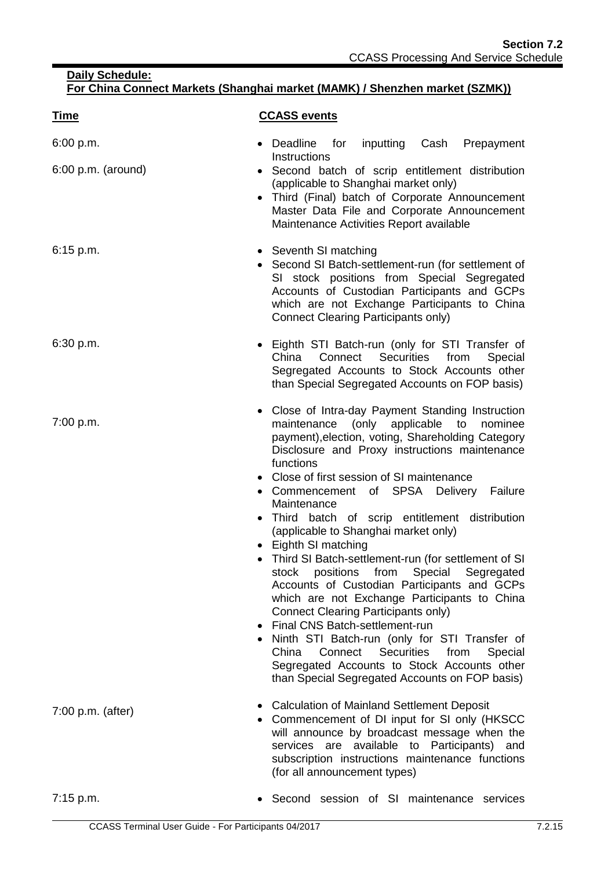| <u>Time</u>                       | <b>CCASS events</b>                                                                                                                                                                                                                                                                                                                                                                                                                                                                                                                                                                                                                                                                                                                                                                                                                                                                                                                                   |
|-----------------------------------|-------------------------------------------------------------------------------------------------------------------------------------------------------------------------------------------------------------------------------------------------------------------------------------------------------------------------------------------------------------------------------------------------------------------------------------------------------------------------------------------------------------------------------------------------------------------------------------------------------------------------------------------------------------------------------------------------------------------------------------------------------------------------------------------------------------------------------------------------------------------------------------------------------------------------------------------------------|
| 6:00 p.m.<br>$6:00$ p.m. (around) | Deadline<br>for<br>inputting Cash<br>Prepayment<br>$\bullet$<br>Instructions<br>• Second batch of scrip entitlement distribution<br>(applicable to Shanghai market only)<br>Third (Final) batch of Corporate Announcement<br>Master Data File and Corporate Announcement<br>Maintenance Activities Report available                                                                                                                                                                                                                                                                                                                                                                                                                                                                                                                                                                                                                                   |
| $6:15$ p.m.                       | • Seventh SI matching<br>• Second SI Batch-settlement-run (for settlement of<br>SI stock positions from Special Segregated<br>Accounts of Custodian Participants and GCPs<br>which are not Exchange Participants to China<br><b>Connect Clearing Participants only)</b>                                                                                                                                                                                                                                                                                                                                                                                                                                                                                                                                                                                                                                                                               |
| 6:30 p.m.                         | • Eighth STI Batch-run (only for STI Transfer of<br>China<br>Connect Securities from<br>Special<br>Segregated Accounts to Stock Accounts other<br>than Special Segregated Accounts on FOP basis)                                                                                                                                                                                                                                                                                                                                                                                                                                                                                                                                                                                                                                                                                                                                                      |
| 7:00 p.m.                         | • Close of Intra-day Payment Standing Instruction<br>maintenance (only applicable to<br>nominee<br>payment), election, voting, Shareholding Category<br>Disclosure and Proxy instructions maintenance<br>functions<br>• Close of first session of SI maintenance<br>• Commencement of SPSA<br>Delivery Failure<br>Maintenance<br>Third batch of scrip entitlement distribution<br>(applicable to Shanghai market only)<br>Eighth SI matching<br>• Third SI Batch-settlement-run (for settlement of SI<br>stock<br>positions<br>from<br>Special Segregated<br>Accounts of Custodian Participants and GCPs<br>which are not Exchange Participants to China<br>Connect Clearing Participants only)<br>Final CNS Batch-settlement-run<br>$\bullet$<br>Ninth STI Batch-run (only for STI Transfer of<br>Connect<br>Securities<br>from<br>China<br>Special<br>Segregated Accounts to Stock Accounts other<br>than Special Segregated Accounts on FOP basis) |
| 7:00 p.m. (after)                 | <b>Calculation of Mainland Settlement Deposit</b><br>• Commencement of DI input for SI only (HKSCC<br>will announce by broadcast message when the<br>services are available to Participants)<br>and<br>subscription instructions maintenance functions<br>(for all announcement types)                                                                                                                                                                                                                                                                                                                                                                                                                                                                                                                                                                                                                                                                |
| 7:15 p.m.                         | Second session of SI maintenance services                                                                                                                                                                                                                                                                                                                                                                                                                                                                                                                                                                                                                                                                                                                                                                                                                                                                                                             |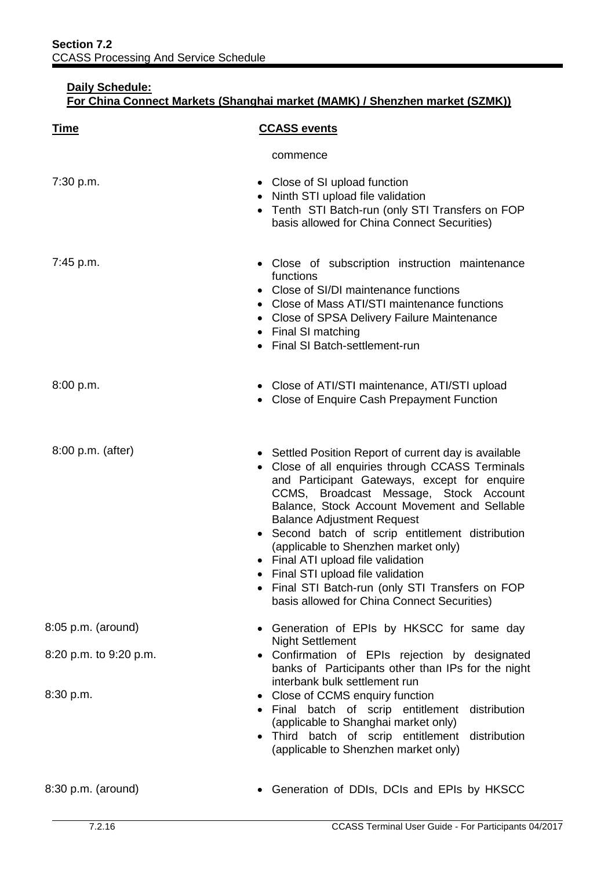| <u>Time</u>            | <b>CCASS events</b>                                                                                                                                                                                                                                                                                                                                                                                                                                                                                                                                             |
|------------------------|-----------------------------------------------------------------------------------------------------------------------------------------------------------------------------------------------------------------------------------------------------------------------------------------------------------------------------------------------------------------------------------------------------------------------------------------------------------------------------------------------------------------------------------------------------------------|
|                        | commence                                                                                                                                                                                                                                                                                                                                                                                                                                                                                                                                                        |
| 7:30 p.m.              | • Close of SI upload function<br>Ninth STI upload file validation<br>• Tenth STI Batch-run (only STI Transfers on FOP<br>basis allowed for China Connect Securities)                                                                                                                                                                                                                                                                                                                                                                                            |
| 7:45 p.m.              | • Close of subscription instruction maintenance<br>functions<br>• Close of SI/DI maintenance functions<br>• Close of Mass ATI/STI maintenance functions<br>• Close of SPSA Delivery Failure Maintenance<br>• Final SI matching<br>• Final SI Batch-settlement-run                                                                                                                                                                                                                                                                                               |
| 8:00 p.m.              | • Close of ATI/STI maintenance, ATI/STI upload<br>Close of Enquire Cash Prepayment Function                                                                                                                                                                                                                                                                                                                                                                                                                                                                     |
| 8:00 p.m. (after)      | • Settled Position Report of current day is available<br>• Close of all enquiries through CCASS Terminals<br>and Participant Gateways, except for enquire<br>CCMS, Broadcast Message, Stock Account<br>Balance, Stock Account Movement and Sellable<br><b>Balance Adjustment Request</b><br>Second batch of scrip entitlement distribution<br>(applicable to Shenzhen market only)<br>• Final ATI upload file validation<br>Final STI upload file validation<br>• Final STI Batch-run (only STI Transfers on FOP<br>basis allowed for China Connect Securities) |
| 8:05 p.m. (around)     | • Generation of EPIs by HKSCC for same day<br><b>Night Settlement</b>                                                                                                                                                                                                                                                                                                                                                                                                                                                                                           |
| 8:20 p.m. to 9:20 p.m. | • Confirmation of EPIs rejection by designated<br>banks of Participants other than IPs for the night<br>interbank bulk settlement run                                                                                                                                                                                                                                                                                                                                                                                                                           |
| 8:30 p.m.              | • Close of CCMS enquiry function<br>• Final batch of scrip entitlement distribution<br>(applicable to Shanghai market only)<br>• Third batch of scrip entitlement<br>distribution<br>(applicable to Shenzhen market only)                                                                                                                                                                                                                                                                                                                                       |
| 8:30 p.m. (around)     | Generation of DDIs, DCIs and EPIs by HKSCC                                                                                                                                                                                                                                                                                                                                                                                                                                                                                                                      |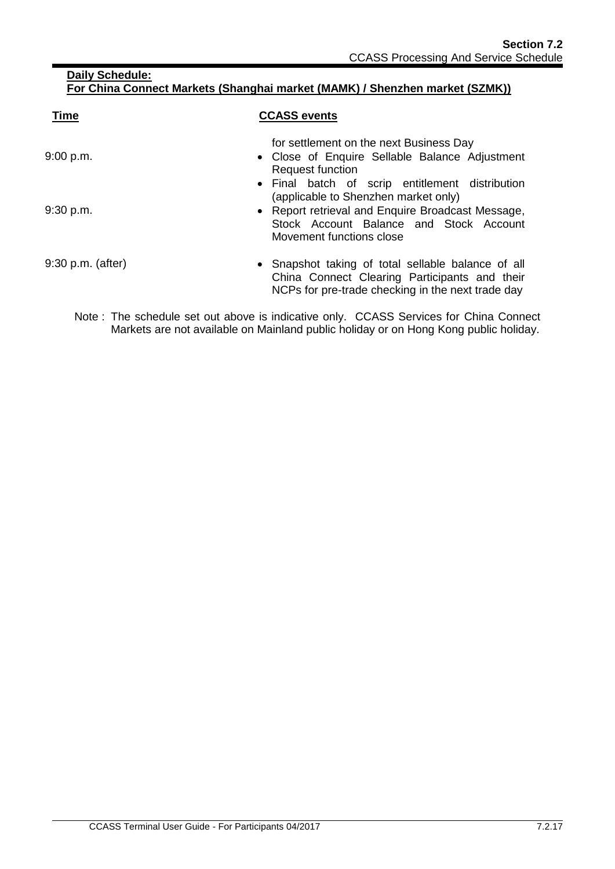| <b>Time</b>         | <b>CCASS events</b>                                                                                                                                                                                                 |
|---------------------|---------------------------------------------------------------------------------------------------------------------------------------------------------------------------------------------------------------------|
| 9:00 p.m.           | for settlement on the next Business Day<br>• Close of Enquire Sellable Balance Adjustment<br><b>Request function</b>                                                                                                |
| 9:30 p.m.           | • Final batch of scrip entitlement distribution<br>(applicable to Shenzhen market only)<br>• Report retrieval and Enquire Broadcast Message,<br>Stock Account Balance and Stock Account<br>Movement functions close |
| $9:30$ p.m. (after) | • Snapshot taking of total sellable balance of all<br>China Connect Clearing Participants and their<br>NCPs for pre-trade checking in the next trade day                                                            |

Note : The schedule set out above is indicative only. CCASS Services for China Connect Markets are not available on Mainland public holiday or on Hong Kong public holiday.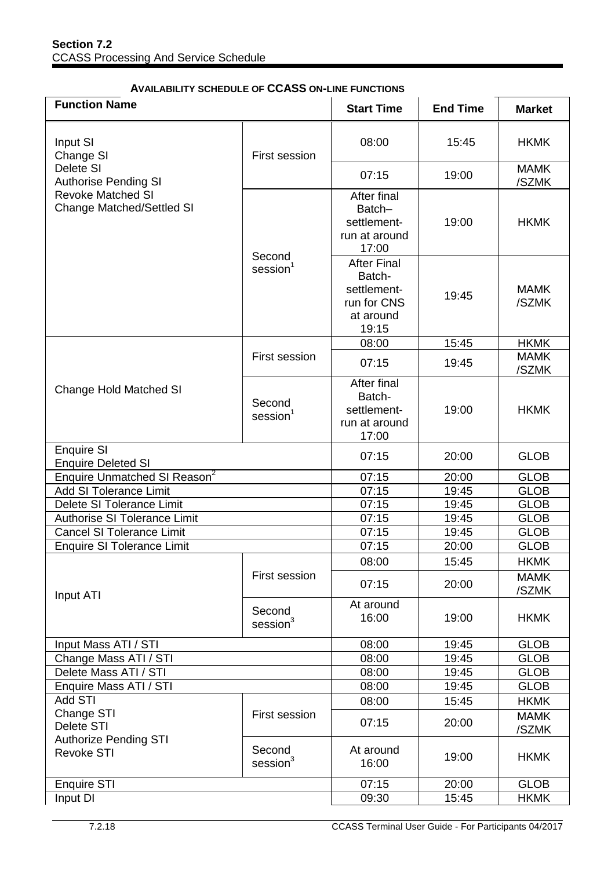| <b>Function Name</b>                                                                                                              |                                | <b>Start Time</b>                                                                | <b>End Time</b> | <b>Market</b>        |
|-----------------------------------------------------------------------------------------------------------------------------------|--------------------------------|----------------------------------------------------------------------------------|-----------------|----------------------|
| Input SI<br>Change SI<br>Delete SI<br><b>Authorise Pending SI</b><br><b>Revoke Matched SI</b><br><b>Change Matched/Settled SI</b> | <b>First session</b>           | 08:00                                                                            | 15:45           | <b>HKMK</b>          |
|                                                                                                                                   |                                | 07:15                                                                            | 19:00           | <b>MAMK</b><br>/SZMK |
|                                                                                                                                   | Second                         | After final<br>Batch-<br>settlement-<br>run at around<br>17:00                   | 19:00           | <b>HKMK</b>          |
|                                                                                                                                   | session <sup>1</sup>           | <b>After Final</b><br>Batch-<br>settlement-<br>run for CNS<br>at around<br>19:15 | 19:45           | <b>MAMK</b><br>/SZMK |
|                                                                                                                                   |                                | 08:00                                                                            | 15:45           | <b>HKMK</b>          |
|                                                                                                                                   | <b>First session</b>           | 07:15                                                                            | 19:45           | <b>MAMK</b><br>/SZMK |
| <b>Change Hold Matched SI</b>                                                                                                     | Second<br>$s$ ession $1$       | After final<br>Batch-<br>settlement-<br>run at around<br>17:00                   | 19:00           | <b>HKMK</b>          |
| <b>Enquire SI</b><br><b>Enquire Deleted SI</b>                                                                                    |                                | 07:15                                                                            | 20:00           | <b>GLOB</b>          |
| <b>Enquire Unmatched SI Reason<sup>2</sup></b>                                                                                    |                                | 07:15                                                                            | 20:00           | <b>GLOB</b>          |
| <b>Add SI Tolerance Limit</b>                                                                                                     |                                | 07:15                                                                            | 19:45           | <b>GLOB</b>          |
| Delete SI Tolerance Limit                                                                                                         |                                | 07:15                                                                            | 19:45           | <b>GLOB</b>          |
| <b>Authorise SI Tolerance Limit</b>                                                                                               |                                | 07:15                                                                            | 19:45           | <b>GLOB</b>          |
| <b>Cancel SI Tolerance Limit</b>                                                                                                  |                                | 07:15                                                                            | 19:45           | <b>GLOB</b>          |
| <b>Enquire SI Tolerance Limit</b>                                                                                                 |                                | 07:15                                                                            | 20:00           | <b>GLOB</b>          |
|                                                                                                                                   |                                | 08:00                                                                            | 15:45           | <b>HKMK</b>          |
| Input ATI                                                                                                                         | First session                  | 07:15                                                                            | 20:00           | <b>MAMK</b><br>/SZMK |
|                                                                                                                                   | Second<br>session <sup>3</sup> | At around<br>16:00                                                               | 19:00           | <b>HKMK</b>          |
| Input Mass ATI / STI                                                                                                              |                                | 08:00                                                                            | 19:45           | <b>GLOB</b>          |
| Change Mass ATI / STI                                                                                                             |                                | 08:00                                                                            | 19:45           | <b>GLOB</b>          |
| Delete Mass ATI / STI                                                                                                             |                                | 08:00                                                                            | 19:45           | <b>GLOB</b>          |
| Enquire Mass ATI / STI                                                                                                            |                                | 08:00                                                                            | 19:45           | <b>GLOB</b>          |
| <b>Add STI</b>                                                                                                                    |                                | 08:00                                                                            | 15:45           | <b>HKMK</b>          |
| Change STI<br>Delete STI<br><b>Authorize Pending STI</b><br><b>Revoke STI</b>                                                     | First session                  | 07:15                                                                            | 20:00           | <b>MAMK</b><br>/SZMK |
|                                                                                                                                   | Second<br>session <sup>3</sup> | At around<br>16:00                                                               | 19:00           | <b>HKMK</b>          |
| <b>Enquire STI</b>                                                                                                                |                                | 07:15                                                                            | 20:00           | <b>GLOB</b>          |
| Input DI                                                                                                                          |                                | 09:30                                                                            | 15:45           | <b>HKMK</b>          |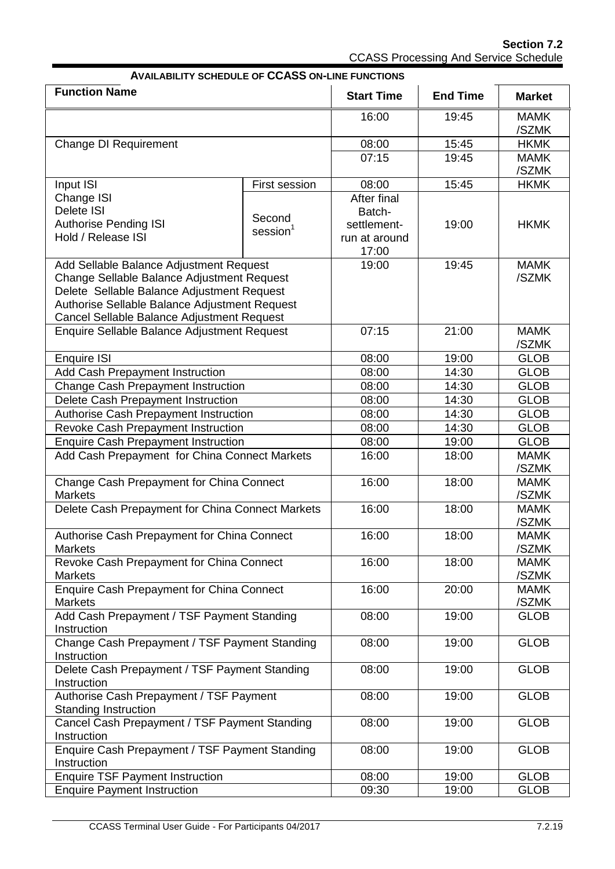**Section 7.2** CCASS Processing And Service Schedule

|                                                                                             |                |                   | <b>AVAILABILITY SCHEDULE OF CCASS ON-LINE FUNCTIONS</b> |                      |  |  |  |  |
|---------------------------------------------------------------------------------------------|----------------|-------------------|---------------------------------------------------------|----------------------|--|--|--|--|
| <b>Function Name</b>                                                                        |                | <b>Start Time</b> | <b>End Time</b>                                         | <b>Market</b>        |  |  |  |  |
|                                                                                             |                | 16:00             | 19:45                                                   | <b>MAMK</b><br>/SZMK |  |  |  |  |
| <b>Change DI Requirement</b>                                                                |                | 08:00             | 15:45                                                   | <b>HKMK</b>          |  |  |  |  |
|                                                                                             |                | 07:15             | 19:45                                                   | <b>MAMK</b>          |  |  |  |  |
|                                                                                             |                |                   |                                                         | /SZMK                |  |  |  |  |
| Input ISI                                                                                   | First session  | 08:00             | 15:45                                                   | <b>HKMK</b>          |  |  |  |  |
| Change ISI                                                                                  |                | After final       |                                                         |                      |  |  |  |  |
| Delete ISI                                                                                  | Second         | Batch-            |                                                         |                      |  |  |  |  |
| <b>Authorise Pending ISI</b>                                                                | $s$ ession $1$ | settlement-       | 19:00                                                   | <b>HKMK</b>          |  |  |  |  |
| Hold / Release ISI                                                                          |                | run at around     |                                                         |                      |  |  |  |  |
|                                                                                             |                | 17:00             |                                                         |                      |  |  |  |  |
| Add Sellable Balance Adjustment Request                                                     |                | 19:00             | 19:45                                                   | <b>MAMK</b>          |  |  |  |  |
| Change Sellable Balance Adjustment Request                                                  |                |                   |                                                         | /SZMK                |  |  |  |  |
| Delete Sellable Balance Adjustment Request                                                  |                |                   |                                                         |                      |  |  |  |  |
| Authorise Sellable Balance Adjustment Request<br>Cancel Sellable Balance Adjustment Request |                |                   |                                                         |                      |  |  |  |  |
| Enquire Sellable Balance Adjustment Request                                                 |                | 07:15             | 21:00                                                   | <b>MAMK</b>          |  |  |  |  |
|                                                                                             |                |                   |                                                         | /SZMK                |  |  |  |  |
| <b>Enquire ISI</b>                                                                          |                | 08:00             | 19:00                                                   | <b>GLOB</b>          |  |  |  |  |
| Add Cash Prepayment Instruction                                                             |                | 08:00             | 14:30                                                   | <b>GLOB</b>          |  |  |  |  |
| <b>Change Cash Prepayment Instruction</b>                                                   |                | 08:00             | 14:30                                                   | <b>GLOB</b>          |  |  |  |  |
| Delete Cash Prepayment Instruction                                                          |                | 08:00             | 14:30                                                   | <b>GLOB</b>          |  |  |  |  |
| Authorise Cash Prepayment Instruction                                                       |                | 08:00             | 14:30                                                   | <b>GLOB</b>          |  |  |  |  |
| Revoke Cash Prepayment Instruction                                                          |                | 08:00             | 14:30                                                   | <b>GLOB</b>          |  |  |  |  |
| <b>Enquire Cash Prepayment Instruction</b>                                                  |                | 08:00             | 19:00                                                   | <b>GLOB</b>          |  |  |  |  |
| Add Cash Prepayment for China Connect Markets                                               |                | 16:00             | 18:00                                                   | <b>MAMK</b>          |  |  |  |  |
|                                                                                             |                |                   |                                                         | /SZMK                |  |  |  |  |
| Change Cash Prepayment for China Connect                                                    |                | 16:00             | 18:00                                                   | <b>MAMK</b>          |  |  |  |  |
| <b>Markets</b>                                                                              |                |                   |                                                         | /SZMK                |  |  |  |  |
| Delete Cash Prepayment for China Connect Markets                                            |                | 16:00             | 18:00                                                   | <b>MAMK</b>          |  |  |  |  |
|                                                                                             |                |                   |                                                         | /SZMK                |  |  |  |  |
| Authorise Cash Prepayment for China Connect                                                 |                | 16:00             | 18:00                                                   | <b>MAMK</b>          |  |  |  |  |
| <b>Markets</b>                                                                              |                |                   |                                                         | /SZMK                |  |  |  |  |
| Revoke Cash Prepayment for China Connect                                                    |                | 16:00             | 18:00                                                   | <b>MAMK</b>          |  |  |  |  |
| <b>Markets</b>                                                                              |                |                   |                                                         | /SZMK                |  |  |  |  |
| <b>Enquire Cash Prepayment for China Connect</b>                                            |                | 16:00             | 20:00                                                   | <b>MAMK</b>          |  |  |  |  |
| <b>Markets</b>                                                                              |                |                   |                                                         | /SZMK                |  |  |  |  |
| Add Cash Prepayment / TSF Payment Standing                                                  |                | 08:00             | 19:00                                                   | <b>GLOB</b>          |  |  |  |  |
| Instruction<br>Change Cash Prepayment / TSF Payment Standing                                |                | 08:00             | 19:00                                                   | <b>GLOB</b>          |  |  |  |  |
|                                                                                             |                |                   |                                                         |                      |  |  |  |  |
| Instruction<br>Delete Cash Prepayment / TSF Payment Standing                                |                | 08:00             | 19:00                                                   | <b>GLOB</b>          |  |  |  |  |
| Instruction                                                                                 |                |                   |                                                         |                      |  |  |  |  |
| Authorise Cash Prepayment / TSF Payment                                                     |                | 08:00             | 19:00                                                   | <b>GLOB</b>          |  |  |  |  |
| <b>Standing Instruction</b>                                                                 |                |                   |                                                         |                      |  |  |  |  |
| Cancel Cash Prepayment / TSF Payment Standing                                               |                | 08:00             | 19:00                                                   | <b>GLOB</b>          |  |  |  |  |
| Instruction                                                                                 |                |                   |                                                         |                      |  |  |  |  |
| Enquire Cash Prepayment / TSF Payment Standing                                              |                | 08:00             | 19:00                                                   | <b>GLOB</b>          |  |  |  |  |
| Instruction                                                                                 |                |                   |                                                         |                      |  |  |  |  |
| <b>Enquire TSF Payment Instruction</b>                                                      |                | 08:00             | 19:00                                                   | <b>GLOB</b>          |  |  |  |  |
| <b>Enquire Payment Instruction</b>                                                          |                | 09:30             | 19:00                                                   | <b>GLOB</b>          |  |  |  |  |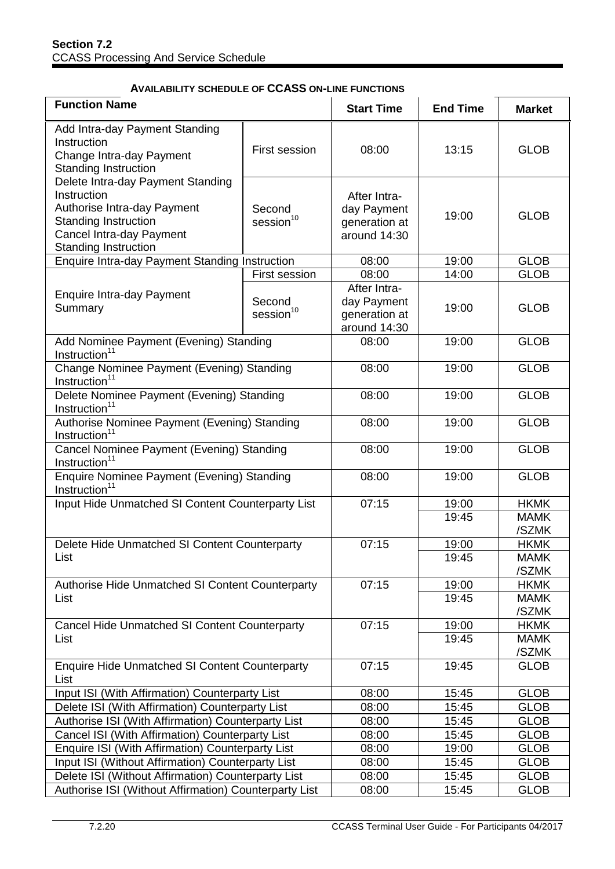### **AVAILABILITY SCHEDULE OF CCASS ON-LINE FUNCTIONS**

| <b>Function Name</b>                                                                                                                                                      |                                 | <b>Start Time</b>                                            | <b>End Time</b> | <b>Market</b>              |
|---------------------------------------------------------------------------------------------------------------------------------------------------------------------------|---------------------------------|--------------------------------------------------------------|-----------------|----------------------------|
| Add Intra-day Payment Standing<br>Instruction<br>Change Intra-day Payment<br><b>Standing Instruction</b>                                                                  | First session                   | 08:00                                                        | 13:15           | <b>GLOB</b>                |
| Delete Intra-day Payment Standing<br>Instruction<br>Authorise Intra-day Payment<br><b>Standing Instruction</b><br>Cancel Intra-day Payment<br><b>Standing Instruction</b> | Second<br>session <sup>10</sup> | After Intra-<br>day Payment<br>generation at<br>around 14:30 | 19:00           | <b>GLOB</b>                |
| Enquire Intra-day Payment Standing Instruction                                                                                                                            |                                 | 08:00                                                        | 19:00           | <b>GLOB</b>                |
|                                                                                                                                                                           | First session                   | 08:00                                                        | 14:00           | <b>GLOB</b>                |
| <b>Enquire Intra-day Payment</b><br>Summary                                                                                                                               | Second<br>session <sup>10</sup> | After Intra-<br>day Payment<br>generation at<br>around 14:30 | 19:00           | <b>GLOB</b>                |
| Add Nominee Payment (Evening) Standing<br>Instruction $1$                                                                                                                 |                                 | 08:00                                                        | 19:00           | <b>GLOB</b>                |
| Change Nominee Payment (Evening) Standing<br>Instruction <sup>11</sup>                                                                                                    |                                 | 08:00                                                        | 19:00           | <b>GLOB</b>                |
| Delete Nominee Payment (Evening) Standing<br>Instruction <sup>11</sup>                                                                                                    |                                 | 08:00                                                        | 19:00           | <b>GLOB</b>                |
| Authorise Nominee Payment (Evening) Standing<br>Instruction <sup>11</sup>                                                                                                 |                                 | 08:00                                                        | 19:00           | <b>GLOB</b>                |
| Cancel Nominee Payment (Evening) Standing<br>Instruction <sup>11</sup>                                                                                                    |                                 | 08:00                                                        | 19:00           | <b>GLOB</b>                |
| Enquire Nominee Payment (Evening) Standing<br>Instruction <sup>11</sup>                                                                                                   |                                 | 08:00                                                        | 19:00           | <b>GLOB</b>                |
| Input Hide Unmatched SI Content Counterparty List                                                                                                                         |                                 | 07:15                                                        | 19:00           | <b>HKMK</b>                |
|                                                                                                                                                                           |                                 |                                                              | 19:45           | <b>MAMK</b>                |
|                                                                                                                                                                           |                                 |                                                              |                 | /SZMK                      |
| Delete Hide Unmatched SI Content Counterparty                                                                                                                             |                                 | 07:15                                                        | 19:00           | <b>HKMK</b>                |
| List                                                                                                                                                                      |                                 |                                                              | 19:45           | <b>MAMK</b>                |
|                                                                                                                                                                           |                                 |                                                              |                 | /SZMK                      |
| Authorise Hide Unmatched SI Content Counterparty<br>List                                                                                                                  |                                 | 07:15                                                        | 19:00<br>19:45  | <b>HKMK</b><br><b>MAMK</b> |
|                                                                                                                                                                           |                                 |                                                              |                 | /SZMK                      |
| <b>Cancel Hide Unmatched SI Content Counterparty</b>                                                                                                                      |                                 | 07:15                                                        | 19:00           | <b>HKMK</b>                |
| List                                                                                                                                                                      |                                 |                                                              | 19:45           | <b>MAMK</b>                |
|                                                                                                                                                                           |                                 |                                                              |                 | /SZMK                      |
| <b>Enquire Hide Unmatched SI Content Counterparty</b><br>List                                                                                                             |                                 | 07:15                                                        | 19:45           | <b>GLOB</b>                |
| Input ISI (With Affirmation) Counterparty List                                                                                                                            |                                 | 08:00                                                        | 15:45           | <b>GLOB</b>                |
| Delete ISI (With Affirmation) Counterparty List                                                                                                                           |                                 | 08:00                                                        | 15:45           | <b>GLOB</b>                |
| Authorise ISI (With Affirmation) Counterparty List                                                                                                                        |                                 | 08:00                                                        | 15:45           | <b>GLOB</b>                |
| Cancel ISI (With Affirmation) Counterparty List                                                                                                                           |                                 | 08:00                                                        | 15:45           | <b>GLOB</b>                |
| Enquire ISI (With Affirmation) Counterparty List                                                                                                                          |                                 | 08:00                                                        | 19:00           | <b>GLOB</b>                |
| Input ISI (Without Affirmation) Counterparty List                                                                                                                         |                                 | 08:00                                                        | 15:45           | <b>GLOB</b>                |
| Delete ISI (Without Affirmation) Counterparty List                                                                                                                        |                                 | 08:00                                                        | 15:45           | <b>GLOB</b>                |
| Authorise ISI (Without Affirmation) Counterparty List                                                                                                                     |                                 | 08:00                                                        | 15:45           | <b>GLOB</b>                |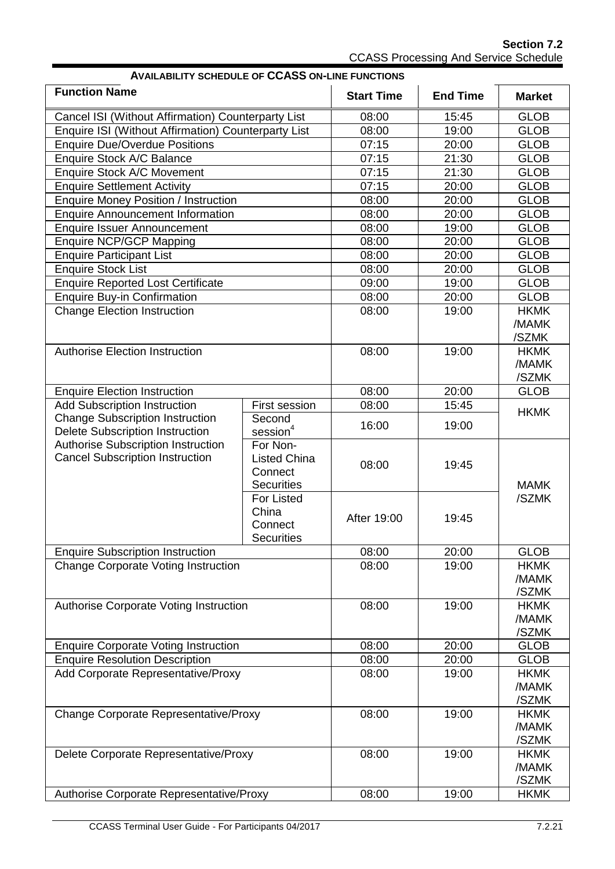**Section 7.2** CCASS Processing And Service Schedule

| <b>AVAILABILITY SCHEDULE OF CCASS ON-LINE FUNCTIONS</b>                          |                                                                 |                   |                 |                               |  |
|----------------------------------------------------------------------------------|-----------------------------------------------------------------|-------------------|-----------------|-------------------------------|--|
| <b>Function Name</b>                                                             |                                                                 | <b>Start Time</b> | <b>End Time</b> | <b>Market</b>                 |  |
| Cancel ISI (Without Affirmation) Counterparty List                               |                                                                 | 08:00             | 15:45           | <b>GLOB</b>                   |  |
| <b>Enquire ISI (Without Affirmation) Counterparty List</b>                       |                                                                 | 08:00             | 19:00           | <b>GLOB</b>                   |  |
| <b>Enquire Due/Overdue Positions</b>                                             |                                                                 | 07:15             | 20:00           | <b>GLOB</b>                   |  |
| Enquire Stock A/C Balance                                                        |                                                                 | 07:15             | 21:30           | <b>GLOB</b>                   |  |
| Enquire Stock A/C Movement                                                       |                                                                 | 07:15             | 21:30           | <b>GLOB</b>                   |  |
| <b>Enquire Settlement Activity</b>                                               |                                                                 | 07:15             | 20:00           | <b>GLOB</b>                   |  |
| <b>Enquire Money Position / Instruction</b>                                      |                                                                 | 08:00             | 20:00           | <b>GLOB</b>                   |  |
| <b>Enquire Announcement Information</b>                                          |                                                                 | 08:00             | 20:00           | <b>GLOB</b>                   |  |
| <b>Enquire Issuer Announcement</b>                                               |                                                                 | 08:00             | 19:00           | <b>GLOB</b>                   |  |
| <b>Enquire NCP/GCP Mapping</b>                                                   |                                                                 | 08:00             | 20:00           | <b>GLOB</b>                   |  |
| <b>Enquire Participant List</b>                                                  |                                                                 | 08:00             | 20:00           | <b>GLOB</b>                   |  |
| <b>Enquire Stock List</b>                                                        |                                                                 | 08:00             | 20:00           | <b>GLOB</b>                   |  |
| <b>Enquire Reported Lost Certificate</b>                                         |                                                                 | 09:00             | 19:00           | <b>GLOB</b>                   |  |
| <b>Enquire Buy-in Confirmation</b>                                               |                                                                 | 08:00             | 20:00           | <b>GLOB</b>                   |  |
| <b>Change Election Instruction</b>                                               |                                                                 | 08:00             | 19:00           | <b>HKMK</b><br>/MAMK<br>/SZMK |  |
| <b>Authorise Election Instruction</b>                                            |                                                                 | 08:00             | 19:00           | <b>HKMK</b><br>/MAMK<br>/SZMK |  |
| <b>Enquire Election Instruction</b>                                              |                                                                 | 08:00             | 20:00           | <b>GLOB</b>                   |  |
| <b>Add Subscription Instruction</b>                                              | First session                                                   | 08:00             | 15:45           |                               |  |
| <b>Change Subscription Instruction</b><br><b>Delete Subscription Instruction</b> | Second<br>session <sup>4</sup>                                  | 16:00             | 19:00           | <b>HKMK</b>                   |  |
| Authorise Subscription Instruction<br><b>Cancel Subscription Instruction</b>     | For Non-<br><b>Listed China</b><br>Connect<br><b>Securities</b> | 08:00             | 19:45           | <b>MAMK</b>                   |  |
|                                                                                  | For Listed<br>China<br>Connect<br><b>Securities</b>             | After 19:00       | 19:45           | /SZMK                         |  |
| <b>Enquire Subscription Instruction</b>                                          |                                                                 | 08:00             | 20:00           | <b>GLOB</b>                   |  |
| <b>Change Corporate Voting Instruction</b>                                       |                                                                 | 08:00             | 19:00           | <b>HKMK</b><br>/MAMK<br>/SZMK |  |
| Authorise Corporate Voting Instruction                                           |                                                                 | 08:00             | 19:00           | <b>HKMK</b><br>/MAMK<br>/SZMK |  |
| <b>Enquire Corporate Voting Instruction</b>                                      |                                                                 | 08:00             | 20:00           | <b>GLOB</b>                   |  |
| <b>Enquire Resolution Description</b>                                            |                                                                 | 08:00             | 20:00           | <b>GLOB</b>                   |  |
| Add Corporate Representative/Proxy                                               |                                                                 | 08:00             | 19:00           | <b>HKMK</b><br>/MAMK<br>/SZMK |  |
| <b>Change Corporate Representative/Proxy</b>                                     |                                                                 | 08:00             | 19:00           | <b>HKMK</b><br>/MAMK<br>/SZMK |  |
| Delete Corporate Representative/Proxy                                            |                                                                 | 08:00             | 19:00           | <b>HKMK</b><br>/MAMK<br>/SZMK |  |
| Authorise Corporate Representative/Proxy                                         |                                                                 | 08:00             | 19:00           | <b>HKMK</b>                   |  |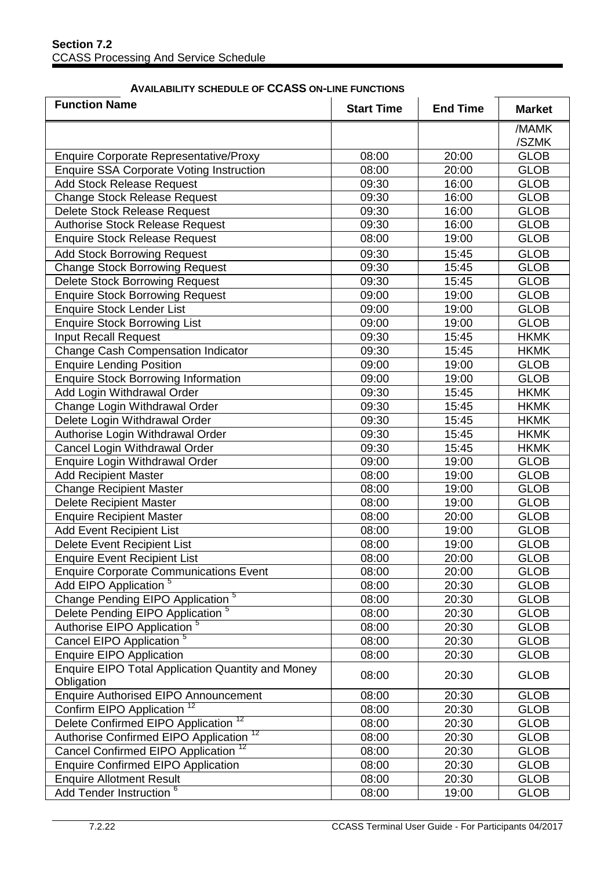#### **AVAILABILITY SCHEDULE OF CCASS ON-LINE FUNCTIONS**

| <b>Function Name</b>                                            | <b>Start Time</b> | <b>End Time</b> | <b>Market</b>  |
|-----------------------------------------------------------------|-------------------|-----------------|----------------|
|                                                                 |                   |                 | /MAMK<br>/SZMK |
| <b>Enquire Corporate Representative/Proxy</b>                   | 08:00             | 20:00           | <b>GLOB</b>    |
| Enquire SSA Corporate Voting Instruction                        | 08:00             | 20:00           | <b>GLOB</b>    |
| <b>Add Stock Release Request</b>                                | 09:30             | 16:00           | <b>GLOB</b>    |
| <b>Change Stock Release Request</b>                             | 09:30             | 16:00           | <b>GLOB</b>    |
| Delete Stock Release Request                                    | 09:30             | 16:00           | <b>GLOB</b>    |
| <b>Authorise Stock Release Request</b>                          | 09:30             | 16:00           | <b>GLOB</b>    |
| <b>Enquire Stock Release Request</b>                            | 08:00             | 19:00           | <b>GLOB</b>    |
| <b>Add Stock Borrowing Request</b>                              | 09:30             | 15:45           | <b>GLOB</b>    |
| <b>Change Stock Borrowing Request</b>                           | 09:30             | 15:45           | <b>GLOB</b>    |
| <b>Delete Stock Borrowing Request</b>                           | 09:30             | 15:45           | <b>GLOB</b>    |
| <b>Enquire Stock Borrowing Request</b>                          | 09:00             | 19:00           | <b>GLOB</b>    |
| <b>Enquire Stock Lender List</b>                                | 09:00             | 19:00           | <b>GLOB</b>    |
| <b>Enquire Stock Borrowing List</b>                             | 09:00             | 19:00           | <b>GLOB</b>    |
| <b>Input Recall Request</b>                                     | 09:30             | 15:45           | <b>HKMK</b>    |
| Change Cash Compensation Indicator                              | 09:30             | 15:45           | <b>HKMK</b>    |
| <b>Enquire Lending Position</b>                                 | 09:00             | 19:00           | <b>GLOB</b>    |
| <b>Enquire Stock Borrowing Information</b>                      | 09:00             | 19:00           | <b>GLOB</b>    |
| Add Login Withdrawal Order                                      | 09:30             | 15:45           | <b>HKMK</b>    |
| Change Login Withdrawal Order                                   | 09:30             | 15:45           | <b>HKMK</b>    |
| Delete Login Withdrawal Order                                   | 09:30             | 15:45           | <b>HKMK</b>    |
| Authorise Login Withdrawal Order                                | 09:30             | 15:45           | <b>HKMK</b>    |
| Cancel Login Withdrawal Order                                   | 09:30             | 15:45           | <b>HKMK</b>    |
| Enquire Login Withdrawal Order                                  | 09:00             | 19:00           | <b>GLOB</b>    |
| <b>Add Recipient Master</b>                                     | 08:00             | 19:00           | <b>GLOB</b>    |
| <b>Change Recipient Master</b>                                  | 08:00             | 19:00           | <b>GLOB</b>    |
| <b>Delete Recipient Master</b>                                  | 08:00             | 19:00           | <b>GLOB</b>    |
| <b>Enquire Recipient Master</b>                                 | 08:00             | 20:00           | <b>GLOB</b>    |
| <b>Add Event Recipient List</b>                                 | 08:00             | 19:00           | <b>GLOB</b>    |
| Delete Event Recipient List                                     | 08:00             | 19:00           | <b>GLOB</b>    |
| <b>Enquire Event Recipient List</b>                             | 08:00             | 20:00           | <b>GLOB</b>    |
| <b>Enquire Corporate Communications Event</b>                   | 08:00             | 20:00           | <b>GLOB</b>    |
| Add EIPO Application <sup>5</sup>                               | 08:00             | 20:30           | <b>GLOB</b>    |
| Change Pending EIPO Application <sup>5</sup>                    | 08:00             | 20:30           | <b>GLOB</b>    |
| Delete Pending EIPO Application <sup>5</sup>                    | 08:00             | 20:30           | <b>GLOB</b>    |
| Authorise EIPO Application <sup>5</sup>                         | 08:00             | 20:30           | <b>GLOB</b>    |
| Cancel EIPO Application <sup>5</sup>                            | 08:00             | 20:30           | <b>GLOB</b>    |
| <b>Enquire EIPO Application</b>                                 | 08:00             | 20:30           | <b>GLOB</b>    |
| Enquire EIPO Total Application Quantity and Money<br>Obligation | 08:00             | 20:30           | <b>GLOB</b>    |
| <b>Enquire Authorised EIPO Announcement</b>                     | 08:00             | 20:30           | <b>GLOB</b>    |
| Confirm EIPO Application <sup>12</sup>                          | 08:00             | 20:30           | <b>GLOB</b>    |
| Delete Confirmed EIPO Application <sup>12</sup>                 | 08:00             | 20:30           | <b>GLOB</b>    |
| Authorise Confirmed EIPO Application <sup>12</sup>              | 08:00             | 20:30           | <b>GLOB</b>    |
| Cancel Confirmed EIPO Application <sup>12</sup>                 | 08:00             | 20:30           | <b>GLOB</b>    |
| <b>Enquire Confirmed EIPO Application</b>                       | 08:00             | 20:30           | <b>GLOB</b>    |
| <b>Enquire Allotment Result</b>                                 | 08:00             | 20:30           | <b>GLOB</b>    |
| Add Tender Instruction <sup>6</sup>                             | 08:00             | 19:00           | <b>GLOB</b>    |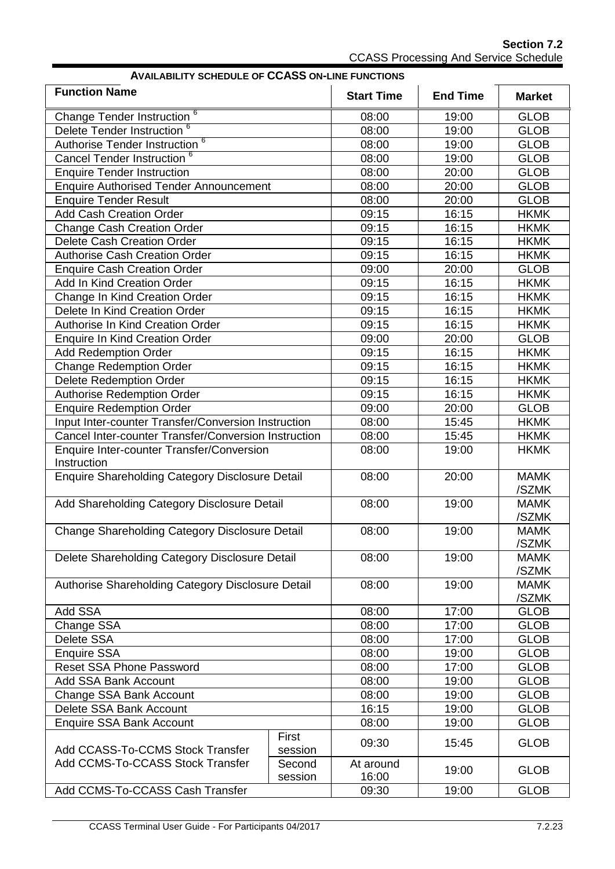**Section 7.2** CCASS Processing And Service Schedule

| <b>AVAILABILITY SCHEDULE OF CCASS ON-LINE FUNCTIONS</b> |         |                   |                 |                      |  |
|---------------------------------------------------------|---------|-------------------|-----------------|----------------------|--|
| <b>Function Name</b>                                    |         | <b>Start Time</b> | <b>End Time</b> | <b>Market</b>        |  |
| Change Tender Instruction <sup>6</sup>                  |         | 08:00             | 19:00           | <b>GLOB</b>          |  |
| Delete Tender Instruction <sup>6</sup>                  |         | 08:00             | 19:00           | <b>GLOB</b>          |  |
| Authorise Tender Instruction <sup>6</sup>               |         | 08:00             | 19:00           | <b>GLOB</b>          |  |
| Cancel Tender Instruction <sup>6</sup>                  |         | 08:00             | 19:00           | <b>GLOB</b>          |  |
| <b>Enquire Tender Instruction</b>                       |         | 08:00             | 20:00           | <b>GLOB</b>          |  |
| <b>Enquire Authorised Tender Announcement</b>           |         | 08:00             | 20:00           | <b>GLOB</b>          |  |
| <b>Enquire Tender Result</b>                            |         | 08:00             | 20:00           | <b>GLOB</b>          |  |
| <b>Add Cash Creation Order</b>                          |         | 09:15             | 16:15           | <b>HKMK</b>          |  |
| <b>Change Cash Creation Order</b>                       |         | 09:15             | 16:15           | <b>HKMK</b>          |  |
| Delete Cash Creation Order                              |         | 09:15             | 16:15           | <b>HKMK</b>          |  |
| <b>Authorise Cash Creation Order</b>                    |         | 09:15             | 16:15           | <b>HKMK</b>          |  |
| <b>Enquire Cash Creation Order</b>                      |         | 09:00             | 20:00           | <b>GLOB</b>          |  |
| Add In Kind Creation Order                              |         | 09:15             | 16:15           | <b>HKMK</b>          |  |
| Change In Kind Creation Order                           |         | 09:15             | 16:15           | <b>HKMK</b>          |  |
| Delete In Kind Creation Order                           |         | 09:15             | 16:15           | <b>HKMK</b>          |  |
| Authorise In Kind Creation Order                        |         | 09:15             | 16:15           | <b>HKMK</b>          |  |
| <b>Enquire In Kind Creation Order</b>                   |         | 09:00             | 20:00           | <b>GLOB</b>          |  |
| <b>Add Redemption Order</b>                             |         | 09:15             | 16:15           | <b>HKMK</b>          |  |
| <b>Change Redemption Order</b>                          |         | 09:15             | 16:15           | <b>HKMK</b>          |  |
| <b>Delete Redemption Order</b>                          |         | 09:15             | 16:15           | <b>HKMK</b>          |  |
| <b>Authorise Redemption Order</b>                       |         | 09:15             | 16:15           | <b>HKMK</b>          |  |
| <b>Enquire Redemption Order</b>                         |         | 09:00             | 20:00           | <b>GLOB</b>          |  |
| Input Inter-counter Transfer/Conversion Instruction     |         | 08:00             | 15:45           | <b>HKMK</b>          |  |
| Cancel Inter-counter Transfer/Conversion Instruction    |         | 08:00             | 15:45           | <b>HKMK</b>          |  |
| Enquire Inter-counter Transfer/Conversion               |         | 08:00             | 19:00           | <b>HKMK</b>          |  |
| Instruction                                             |         |                   |                 |                      |  |
| Enquire Shareholding Category Disclosure Detail         |         | 08:00             | 20:00           | <b>MAMK</b><br>/SZMK |  |
| Add Shareholding Category Disclosure Detail             |         | 08:00             | 19:00           | <b>MAMK</b><br>/SZMK |  |
| Change Shareholding Category Disclosure Detail          |         | 08:00             | 19:00           | <b>MAMK</b>          |  |
| Delete Shareholding Category Disclosure Detail          |         | 08:00             | 19:00           | /SZMK<br><b>MAMK</b> |  |
|                                                         |         |                   |                 | /SZMK                |  |
| Authorise Shareholding Category Disclosure Detail       |         | 08:00             | 19:00           | <b>MAMK</b>          |  |
|                                                         |         |                   |                 | /SZMK                |  |
| Add SSA                                                 |         | 08:00             | 17:00           | <b>GLOB</b>          |  |
| Change SSA                                              |         | 08:00             | 17:00           | <b>GLOB</b>          |  |
| Delete SSA                                              |         | 08:00             | 17:00           | <b>GLOB</b>          |  |
| <b>Enquire SSA</b>                                      |         | 08:00             | 19:00           | <b>GLOB</b>          |  |
| <b>Reset SSA Phone Password</b>                         |         | 08:00             | 17:00           | <b>GLOB</b>          |  |
| <b>Add SSA Bank Account</b>                             |         | 08:00             | 19:00           | <b>GLOB</b>          |  |
| Change SSA Bank Account                                 |         | 08:00             | 19:00           | <b>GLOB</b>          |  |
| Delete SSA Bank Account                                 |         | 16:15             | 19:00           | <b>GLOB</b>          |  |
| <b>Enquire SSA Bank Account</b>                         |         | 08:00             | 19:00           | <b>GLOB</b>          |  |
|                                                         | First   |                   |                 |                      |  |
| Add CCASS-To-CCMS Stock Transfer                        | session | 09:30             | 15:45           | <b>GLOB</b>          |  |
| Add CCMS-To-CCASS Stock Transfer                        | Second  | At around         | 19:00           | <b>GLOB</b>          |  |
|                                                         | session | 16:00             |                 |                      |  |
| Add CCMS-To-CCASS Cash Transfer                         |         | 09:30             | 19:00           | <b>GLOB</b>          |  |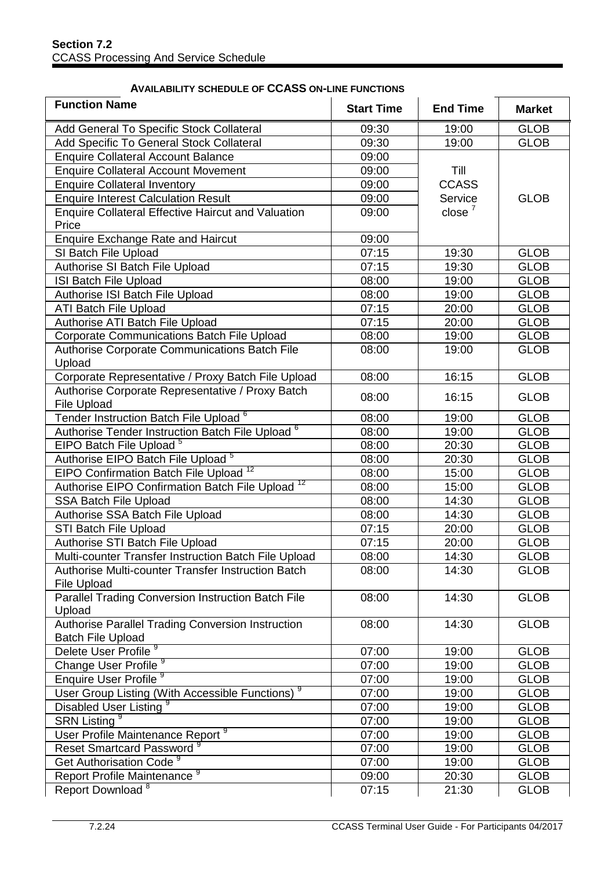| <b>Function Name</b>                                                          | <b>Start Time</b> | <b>End Time</b> | <b>Market</b> |
|-------------------------------------------------------------------------------|-------------------|-----------------|---------------|
| Add General To Specific Stock Collateral                                      | 09:30             | 19:00           | <b>GLOB</b>   |
| Add Specific To General Stock Collateral                                      | 09:30             | 19:00           | <b>GLOB</b>   |
| <b>Enquire Collateral Account Balance</b>                                     | 09:00             |                 |               |
| <b>Enquire Collateral Account Movement</b>                                    | 09:00             | Till            |               |
| <b>Enquire Collateral Inventory</b>                                           | 09:00             | <b>CCASS</b>    |               |
| <b>Enquire Interest Calculation Result</b>                                    | 09:00             | Service         | <b>GLOB</b>   |
| <b>Enquire Collateral Effective Haircut and Valuation</b><br>Price            | 09:00             | close $7$       |               |
| <b>Enquire Exchange Rate and Haircut</b>                                      | 09:00             |                 |               |
| SI Batch File Upload                                                          | 07:15             | 19:30           | <b>GLOB</b>   |
| Authorise SI Batch File Upload                                                | 07:15             | 19:30           | <b>GLOB</b>   |
| ISI Batch File Upload                                                         | 08:00             | 19:00           | <b>GLOB</b>   |
| Authorise ISI Batch File Upload                                               | 08:00             | 19:00           | <b>GLOB</b>   |
| <b>ATI Batch File Upload</b>                                                  | 07:15             | 20:00           | <b>GLOB</b>   |
| Authorise ATI Batch File Upload                                               | 07:15             | 20:00           | <b>GLOB</b>   |
| Corporate Communications Batch File Upload                                    | 08:00             | 19:00           | <b>GLOB</b>   |
| Authorise Corporate Communications Batch File<br>Upload                       | 08:00             | 19:00           | <b>GLOB</b>   |
| Corporate Representative / Proxy Batch File Upload                            | 08:00             | 16:15           | <b>GLOB</b>   |
| Authorise Corporate Representative / Proxy Batch<br><b>File Upload</b>        | 08:00             | 16:15           | <b>GLOB</b>   |
| Tender Instruction Batch File Upload <sup>6</sup>                             | 08:00             | 19:00           | <b>GLOB</b>   |
| Authorise Tender Instruction Batch File Upload <sup>6</sup>                   | 08:00             | 19:00           | <b>GLOB</b>   |
| EIPO Batch File Upload <sup>5</sup>                                           | 08:00             | 20:30           | <b>GLOB</b>   |
| Authorise EIPO Batch File Upload <sup>5</sup>                                 | 08:00             | 20:30           | <b>GLOB</b>   |
| EIPO Confirmation Batch File Upload <sup>12</sup>                             | 08:00             | 15:00           | <b>GLOB</b>   |
| Authorise EIPO Confirmation Batch File Upload <sup>12</sup>                   | 08:00             | 15:00           | <b>GLOB</b>   |
| SSA Batch File Upload                                                         | 08:00             | 14:30           | <b>GLOB</b>   |
| Authorise SSA Batch File Upload                                               | 08:00             | 14:30           | <b>GLOB</b>   |
| <b>STI Batch File Upload</b>                                                  | 07:15             | 20:00           | <b>GLOB</b>   |
| Authorise STI Batch File Upload                                               | 07:15             | 20:00           | <b>GLOB</b>   |
| Multi-counter Transfer Instruction Batch File Upload                          | 08:00             | 14:30           | <b>GLOB</b>   |
| Authorise Multi-counter Transfer Instruction Batch<br><b>File Upload</b>      | 08:00             | 14:30           | <b>GLOB</b>   |
| Parallel Trading Conversion Instruction Batch File<br>Upload                  | 08:00             | 14:30           | <b>GLOB</b>   |
| Authorise Parallel Trading Conversion Instruction<br><b>Batch File Upload</b> | 08:00             | 14:30           | <b>GLOB</b>   |
| Delete User Profile <sup>9</sup>                                              | 07:00             | 19:00           | <b>GLOB</b>   |
| Change User Profile <sup>9</sup>                                              | 07:00             | 19:00           | <b>GLOB</b>   |
| Enquire User Profile <sup>9</sup>                                             | 07:00             | 19:00           | <b>GLOB</b>   |
| User Group Listing (With Accessible Functions) <sup>9</sup>                   | 07:00             | 19:00           | <b>GLOB</b>   |
| Disabled User Listing <sup>9</sup>                                            | 07:00             | 19:00           | <b>GLOB</b>   |
| <b>SRN Listing<sup>9</sup></b>                                                | 07:00             | 19:00           | <b>GLOB</b>   |
| User Profile Maintenance Report <sup>9</sup>                                  | 07:00             | 19:00           | <b>GLOB</b>   |
| Reset Smartcard Password <sup>9</sup>                                         | 07:00             | 19:00           | <b>GLOB</b>   |

#### **AVAILABILITY SCHEDULE OF CCASS ON-LINE FUNCTIONS**

Get Authorisation Code<sup>9</sup>

07:00 19:00 GLOB<br>09:00 20:30 GLOB

07:15 21:30 GLOB

GLOB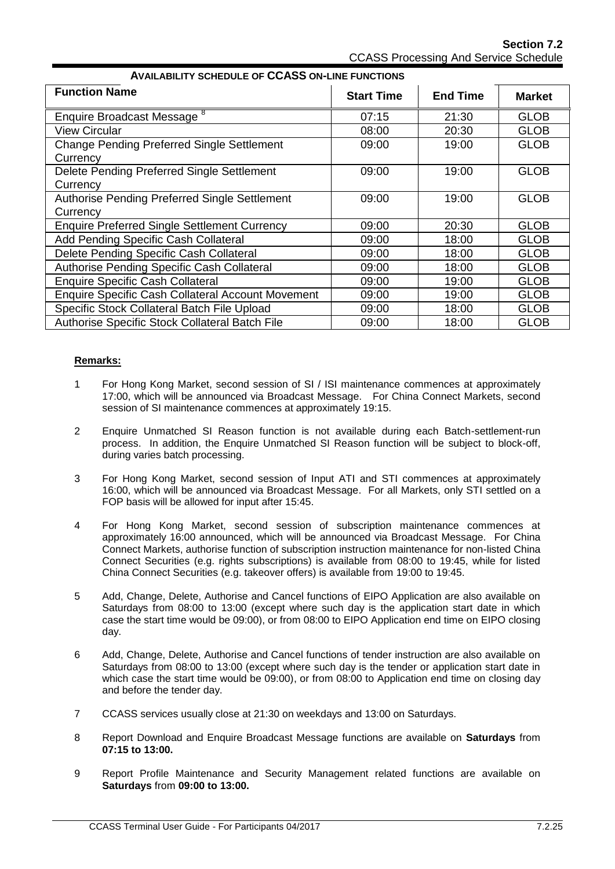**Section 7.2** CCASS Processing And Service Schedule

| <b>Function Name</b>                                     | <b>Start Time</b> | <b>End Time</b> | <b>Market</b> |
|----------------------------------------------------------|-------------------|-----------------|---------------|
|                                                          |                   |                 |               |
| Enquire Broadcast Message <sup>8</sup>                   | 07:15             | 21:30           | <b>GLOB</b>   |
| <b>View Circular</b>                                     | 08:00             | 20:30           | <b>GLOB</b>   |
| <b>Change Pending Preferred Single Settlement</b>        | 09:00             | 19:00           | <b>GLOB</b>   |
| Currency                                                 |                   |                 |               |
| Delete Pending Preferred Single Settlement               | 09:00             | 19:00           | <b>GLOB</b>   |
| Currency                                                 |                   |                 |               |
| Authorise Pending Preferred Single Settlement            | 09:00             | 19:00           | <b>GLOB</b>   |
| Currency                                                 |                   |                 |               |
| <b>Enquire Preferred Single Settlement Currency</b>      | 09:00             | 20:30           | <b>GLOB</b>   |
| Add Pending Specific Cash Collateral                     | 09:00             | 18:00           | <b>GLOB</b>   |
| Delete Pending Specific Cash Collateral                  | 09:00             | 18:00           | <b>GLOB</b>   |
| Authorise Pending Specific Cash Collateral               | 09:00             | 18:00           | <b>GLOB</b>   |
| <b>Enquire Specific Cash Collateral</b>                  | 09:00             | 19:00           | <b>GLOB</b>   |
| <b>Enquire Specific Cash Collateral Account Movement</b> | 09:00             | 19:00           | <b>GLOB</b>   |
| Specific Stock Collateral Batch File Upload              | 09:00             | 18:00           | <b>GLOB</b>   |
| Authorise Specific Stock Collateral Batch File           | 09:00             | 18:00           | <b>GLOB</b>   |

#### **AVAILABILITY SCHEDULE OF CCASS ON-LINE FUNCTIONS**

#### **Remarks:**

- 1 For Hong Kong Market, second session of SI / ISI maintenance commences at approximately 17:00, which will be announced via Broadcast Message. For China Connect Markets, second session of SI maintenance commences at approximately 19:15.
- 2 Enquire Unmatched SI Reason function is not available during each Batch-settlement-run process. In addition, the Enquire Unmatched SI Reason function will be subject to block-off, during varies batch processing.
- 3 For Hong Kong Market, second session of Input ATI and STI commences at approximately 16:00, which will be announced via Broadcast Message. For all Markets, only STI settled on a FOP basis will be allowed for input after 15:45.
- 4 For Hong Kong Market, second session of subscription maintenance commences at approximately 16:00 announced, which will be announced via Broadcast Message. For China Connect Markets, authorise function of subscription instruction maintenance for non-listed China Connect Securities (e.g. rights subscriptions) is available from 08:00 to 19:45, while for listed China Connect Securities (e.g. takeover offers) is available from 19:00 to 19:45.
- 5 Add, Change, Delete, Authorise and Cancel functions of EIPO Application are also available on Saturdays from 08:00 to 13:00 (except where such day is the application start date in which case the start time would be 09:00), or from 08:00 to EIPO Application end time on EIPO closing day.
- 6 Add, Change, Delete, Authorise and Cancel functions of tender instruction are also available on Saturdays from 08:00 to 13:00 (except where such day is the tender or application start date in which case the start time would be 09:00), or from 08:00 to Application end time on closing day and before the tender day.
- 7 CCASS services usually close at 21:30 on weekdays and 13:00 on Saturdays.
- 8 Report Download and Enquire Broadcast Message functions are available on **Saturdays** from **07:15 to 13:00.**
- 9 Report Profile Maintenance and Security Management related functions are available on **Saturdays** from **09:00 to 13:00.**